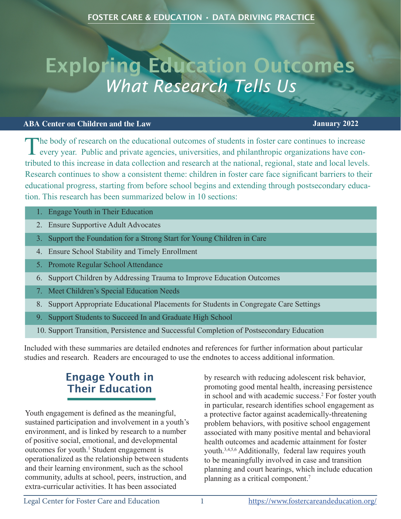# Exploring Education Outcomes *What Research Tells Us*

#### **ABA Center on Children and the Law January 2022**

The body of research on the educational outcomes of students in foster care continues to increase every year. Public and private agencies, universities, and philanthropic organizations have contributed to this increase in data collection and research at the national, regional, state and local levels. Research continues to show a consistent theme: children in foster care face significant barriers to their educational progress, starting from before school begins and extending through postsecondary education. This research has been summarized below in 10 sections:

- 1. Engage Youth in Their Education
- 2. Ensure Supportive Adult Advocates
- 3. Support the Foundation for a Strong Start for Young Children in Care
- 4. Ensure School Stability and Timely Enrollment
- 5. Promote Regular School Attendance
- 6. Support Children by Addressing Trauma to Improve Education Outcomes
- 7. Meet Children's Special Education Needs
- 8. Support Appropriate Educational Placements for Students in Congregate Care Settings
- 9. Support Students to Succeed In and Graduate High School
- 10. Support Transition, Persistence and Successful Completion of Postsecondary Education

Included with these summaries are detailed endnotes and references for further information about particular studies and research. Readers are encouraged to use the endnotes to access additional information.

# Engage Youth in Their Education

Youth engagement is defined as the meaningful, sustained participation and involvement in a youth's environment, and is linked by research to a number of positive social, emotional, and developmental outcomes for youth.<sup>1</sup> Student engagement is operationalized as the relationship between students and their learning environment, such as the school community, adults at school, peers, instruction, and extra-curricular activities. It has been associated

by research with reducing adolescent risk behavior, promoting good mental health, increasing persistence in school and with academic success.<sup>2</sup> For foster youth in particular, research identifies school engagement as a protective factor against academically-threatening problem behaviors, with positive school engagement associated with many positive mental and behavioral health outcomes and academic attainment for foster youth.3,4,5,6 Additionally, federal law requires youth to be meaningfully involved in case and transition planning and court hearings, which include education planning as a critical component.7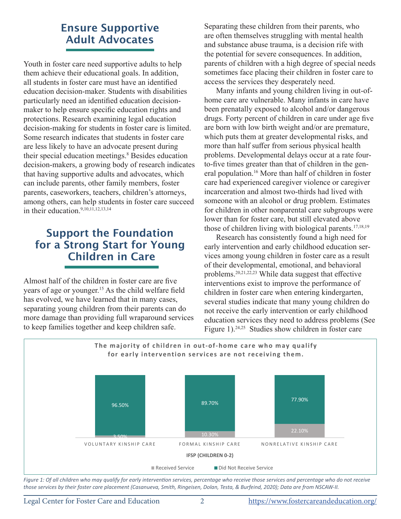# Ensure Supportive Adult Advocates

Youth in foster care need supportive adults to help them achieve their educational goals. In addition, all students in foster care must have an identified education decision-maker. Students with disabilities particularly need an identified education decisionmaker to help ensure specific education rights and protections. Research examining legal education decision-making for students in foster care is limited. Some research indicates that students in foster care are less likely to have an advocate present during their special education meetings.<sup>8</sup> Besides education decision-makers, a growing body of research indicates that having supportive adults and advocates, which can include parents, other family members, foster parents, caseworkers, teachers, children's attorneys, among others, can help students in foster care succeed in their education.9,10,11,12,13,<sup>14</sup>

### Support the Foundation for a Strong Start for Young Children in Care

Almost half of the children in foster care are five years of age or younger.15 As the child welfare field has evolved, we have learned that in many cases, separating young children from their parents can do more damage than providing full wraparound services to keep families together and keep children safe.

Separating these children from their parents, who are often themselves struggling with mental health and substance abuse trauma, is a decision rife with the potential for severe consequences. In addition, parents of children with a high degree of special needs sometimes face placing their children in foster care to access the services they desperately need.

Many infants and young children living in out-ofhome care are vulnerable. Many infants in care have been prenatally exposed to alcohol and/or dangerous drugs. Forty percent of children in care under age five are born with low birth weight and/or are premature, which puts them at greater developmental risks, and more than half suffer from serious physical health problems. Developmental delays occur at a rate fourto-five times greater than that of children in the general population.16 More than half of children in foster care had experienced caregiver violence or caregiver incarceration and almost two-thirds had lived with someone with an alcohol or drug problem. Estimates for children in other nonparental care subgroups were lower than for foster care, but still elevated above those of children living with biological parents.<sup>17,18,19</sup>

Research has consistently found a high need for early intervention and early childhood education services among young children in foster care as a result of their developmental, emotional, and behavioral problems.20,21,22,23 While data suggest that effective interventions exist to improve the performance of children in foster care when entering kindergarten, several studies indicate that many young children do not receive the early intervention or early childhood education services they need to address problems (See Figure 1).<sup>24,25</sup> Studies show children in foster care



Figure 1: Of all children who may qualify for early intervention services, percentage who receive those services and percentage who do not receive *those services by their foster care placement (Casanueva, Smith, Ringeisen, Dolan, Testa, & Burfeind, 2020); Data are from NSCAW-II.*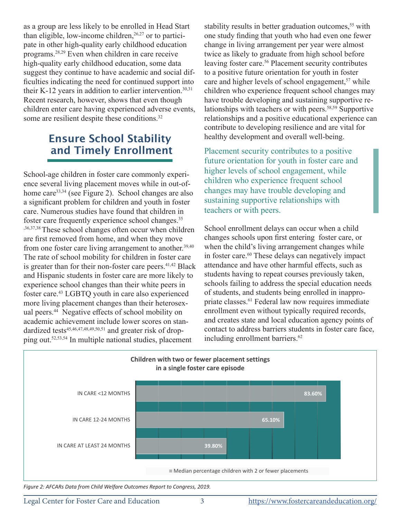as a group are less likely to be enrolled in Head Start than eligible, low-income children, $26,27$  or to participate in other high-quality early childhood education programs.28,29 Even when children in care receive high-quality early childhood education, some data suggest they continue to have academic and social difficulties indicating the need for continued support into their K-12 years in addition to earlier intervention.<sup>30,31</sup> Recent research, however, shows that even though children enter care having experienced adverse events, some are resilient despite these conditions.<sup>32</sup>

#### Ensure School Stability and Timely Enrollment

School-age children in foster care commonly experience several living placement moves while in out-ofhome care<sup>33,34</sup> (see Figure 2). School changes are also a significant problem for children and youth in foster care. Numerous studies have found that children in foster care frequently experience school changes.<sup>35</sup> ,36,37,38These school changes often occur when children are first removed from home, and when they move from one foster care living arrangement to another.<sup>39,40</sup> The rate of school mobility for children in foster care is greater than for their non-foster care peers. $41,42$  Black and Hispanic students in foster care are more likely to experience school changes than their white peers in foster care.<sup>43</sup> LGBTQ youth in care also experienced more living placement changes than their heterosexual peers.<sup>44</sup> Negative effects of school mobility on academic achievement include lower scores on standardized tests<sup>45,46,47,48,49,50,51</sup> and greater risk of dropping out.52,53,54 In multiple national studies, placement

stability results in better graduation outcomes,<sup>55</sup> with one study finding that youth who had even one fewer change in living arrangement per year were almost twice as likely to graduate from high school before leaving foster care.<sup>56</sup> Placement security contributes to a positive future orientation for youth in foster care and higher levels of school engagement,<sup>57</sup> while children who experience frequent school changes may have trouble developing and sustaining supportive relationships with teachers or with peers.<sup>58,59</sup> Supportive relationships and a positive educational experience can contribute to developing resilience and are vital for healthy development and overall well-being.

Placement security contributes to a positive future orientation for youth in foster care and higher levels of school engagement, while children who experience frequent school changes may have trouble developing and sustaining supportive relationships with teachers or with peers.

School enrollment delays can occur when a child changes schools upon first entering foster care, or when the child's living arrangement changes while in foster care.<sup>60</sup> These delays can negatively impact attendance and have other harmful effects, such as students having to repeat courses previously taken, schools failing to address the special education needs of students, and students being enrolled in inappropriate classes.61 Federal law now requires immediate enrollment even without typically required records, and creates state and local education agency points of contact to address barriers students in foster care face, including enrollment barriers.<sup>62</sup>



*Figure 2: AFCARs Data from Child Welfare Outcomes Report to Congress, 2019.*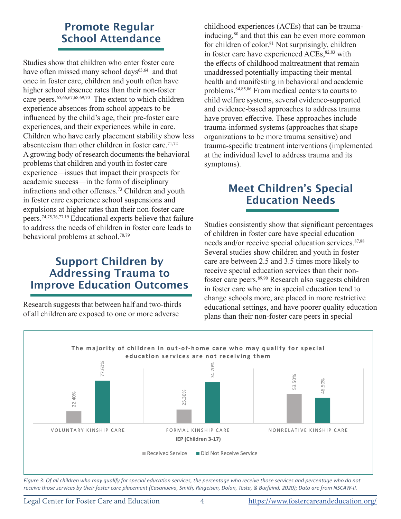# Promote Regular School Attendance

Studies show that children who enter foster care have often missed many school days<sup>63,64</sup> and that once in foster care, children and youth often have higher school absence rates than their non-foster care peers.65,66,67,68,69,70 The extent to which children experience absences from school appears to be influenced by the child's age, their pre-foster care experiences, and their experiences while in care. Children who have early placement stability show less absenteeism than other children in foster care.<sup>71,72</sup> A growing body of research documents the behavioral problems that children and youth in foster care experience—issues that impact their prospects for academic success—in the form of disciplinary infractions and other offenses.<sup>73</sup> Children and youth in foster care experience school suspensions and expulsions at higher rates than their non-foster care peers.74,75,76,77,19 Educational experts believe that failure to address the needs of children in foster care leads to behavioral problems at school.78,79

### Support Children by Addressing Trauma to Improve Education Outcomes

Research suggests that between half and two-thirds of all children are exposed to one or more adverse

childhood experiences (ACEs) that can be traumainducing,<sup>80</sup> and that this can be even more common for children of color.<sup>81</sup> Not surprisingly, children in foster care have experienced ACEs,<sup>82,83</sup> with the effects of childhood maltreatment that remain unaddressed potentially impacting their mental health and manifesting in behavioral and academic problems.84,85,86 From medical centers to courts to child welfare systems, several evidence-supported and evidence-based approaches to address trauma have proven effective. These approaches include trauma-informed systems (approaches that shape organizations to be more trauma sensitive) and trauma-specific treatment interventions (implemented at the individual level to address trauma and its symptoms).

# Meet Children's Special Education Needs

Studies consistently show that significant percentages of children in foster care have special education needs and/or receive special education services.<sup>87,88</sup> Several studies show children and youth in foster care are between 2.5 and 3.5 times more likely to receive special education services than their nonfoster care peers.<sup>89,90</sup> Research also suggests children in foster care who are in special education tend to change schools more, are placed in more restrictive educational settings, and have poorer quality education plans than their non-foster care peers in special



*Figure 3: Of all children who may qualify for special education services, the percentage who receive those services and percentage who do not*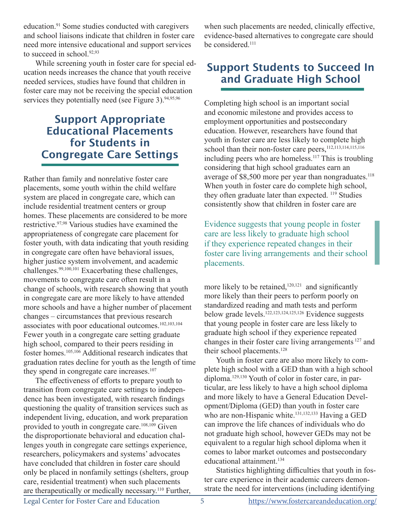education.91 Some studies conducted with caregivers and school liaisons indicate that children in foster care need more intensive educational and support services to succeed in school.<sup>92,93</sup>

While screening youth in foster care for special education needs increases the chance that youth receive needed services, studies have found that children in foster care may not be receiving the special education services they potentially need (see Figure 3).  $94,95,96$ 

#### Support Appropriate Educational Placements for Students in Congregate Care Settings

Rather than family and nonrelative foster care placements, some youth within the child welfare system are placed in congregate care, which can include residential treatment centers or group homes. These placements are considered to be more restrictive.97,98 Various studies have examined the appropriateness of congregate care placement for foster youth, with data indicating that youth residing in congregate care often have behavioral issues, higher justice system involvement, and academic challenges.99,100,101 Exacerbating these challenges, movements to congregate care often result in a change of schools, with research showing that youth in congregate care are more likely to have attended more schools and have a higher number of placement changes – circumstances that previous research associates with poor educational outcomes.102,103,<sup>104</sup> Fewer youth in a congregate care setting graduate high school, compared to their peers residing in foster homes.105,<sup>106</sup> Additional research indicates that graduation rates decline for youth as the length of time they spend in congregate care increases.<sup>107</sup>

The effectiveness of efforts to prepare youth to transition from congregate care settings to independence has been investigated, with research findings questioning the quality of transition services such as independent living, education, and work preparation provided to youth in congregate care.<sup>108,109</sup> Given the disproportionate behavioral and education challenges youth in congregate care settings experience, researchers, policymakers and systems' advocates have concluded that children in foster care should only be placed in nonfamily settings (shelters, group care, residential treatment) when such placements are therapeutically or medically necessary.110 Further, when such placements are needed, clinically effective, evidence-based alternatives to congregate care should be considered.111

# Support Students to Succeed In and Graduate High School

Completing high school is an important social and economic milestone and provides access to employment opportunities and postsecondary education. However, researchers have found that youth in foster care are less likely to complete high school than their non-foster care peers,<sup>112,113,114,115,116</sup> including peers who are homeless.<sup>117</sup> This is troubling considering that high school graduates earn an average of  $$8,500$  more per year than nongraduates.<sup>118</sup> When youth in foster care do complete high school, they often graduate later than expected. <sup>119</sup> Studies consistently show that children in foster care are

Evidence suggests that young people in foster care are less likely to graduate high school if they experience repeated changes in their foster care living arrangements and their school placements.

more likely to be retained,<sup>120,121</sup> and significantly more likely than their peers to perform poorly on standardized reading and math tests and perform below grade levels.122,123,124,125,126 Evidence suggests that young people in foster care are less likely to graduate high school if they experience repeated changes in their foster care living arrangements <sup>127</sup> and their school placements.<sup>128</sup>

Youth in foster care are also more likely to complete high school with a GED than with a high school diploma.<sup>129,130</sup> Youth of color in foster care, in particular, are less likely to have a high school diploma and more likely to have a General Education Development/Diploma (GED) than youth in foster care who are non-Hispanic white.<sup>131,132,133</sup> Having a GED can improve the life chances of individuals who do not graduate high school, however GEDs may not be equivalent to a regular high school diploma when it comes to labor market outcomes and postsecondary educational attainment.<sup>134</sup>

Statistics highlighting difficulties that youth in foster care experience in their academic careers demonstrate the need for interventions (including identifying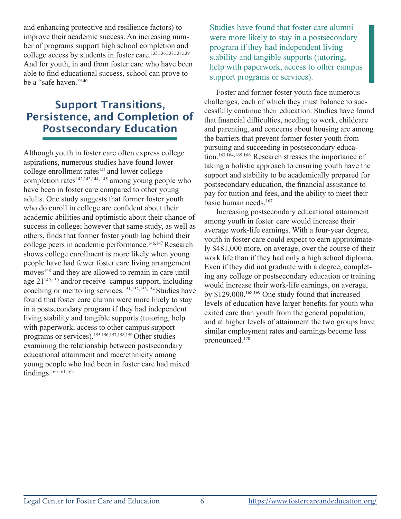and enhancing protective and resilience factors) to improve their academic success. An increasing number of programs support high school completion and college access by students in foster care.<sup>135,136,137,138,139</sup> And for youth, in and from foster care who have been able to find educational success, school can prove to be a "safe haven."140

### Support Transitions, Persistence, and Completion of Postsecondary Education

Although youth in foster care often express college aspirations, numerous studies have found lower college enrollment rates<sup>141</sup> and lower college completion rates<sup>142,143,144, 145</sup> among young people who have been in foster care compared to other young adults. One study suggests that former foster youth who do enroll in college are confident about their academic abilities and optimistic about their chance of success in college; however that same study, as well as others, finds that former foster youth lag behind their college peers in academic performance.<sup>146,147</sup> Research shows college enrollment is more likely when young people have had fewer foster care living arrangement moves<sup>148</sup> and they are allowed to remain in care until age 21149,150 and/or receive campus support, including coaching or mentoring services.151,152,153,<sup>154</sup> Studies have found that foster care alumni were more likely to stay in a postsecondary program if they had independent living stability and tangible supports (tutoring, help with paperwork, access to other campus support programs or services).155,156,157,158,<sup>159</sup> Other studies examining the relationship between postsecondary educational attainment and race/ethnicity among young people who had been in foster care had mixed findings.160,161,<sup>162</sup>

Studies have found that foster care alumni were more likely to stay in a postsecondary program if they had independent living stability and tangible supports (tutoring, help with paperwork, access to other campus support programs or services).

Foster and former foster youth face numerous challenges, each of which they must balance to successfully continue their education. Studies have found that financial difficulties, needing to work, childcare and parenting, and concerns about housing are among the barriers that prevent former foster youth from pursuing and succeeding in postsecondary education.163,164,165,166 Research stresses the importance of taking a holistic approach to ensuring youth have the support and stability to be academically prepared for postsecondary education, the financial assistance to pay for tuition and fees, and the ability to meet their basic human needs.<sup>167</sup>

Increasing postsecondary educational attainment among youth in foster care would increase their average work-life earnings. With a four-year degree, youth in foster care could expect to earn approximately \$481,000 more, on average, over the course of their work life than if they had only a high school diploma. Even if they did not graduate with a degree, completing any college or postsecondary education or training would increase their work-life earnings, on average, by \$129,000.168,169 One study found that increased levels of education have larger benefits for youth who exited care than youth from the general population, and at higher levels of attainment the two groups have similar employment rates and earnings become less pronounced.170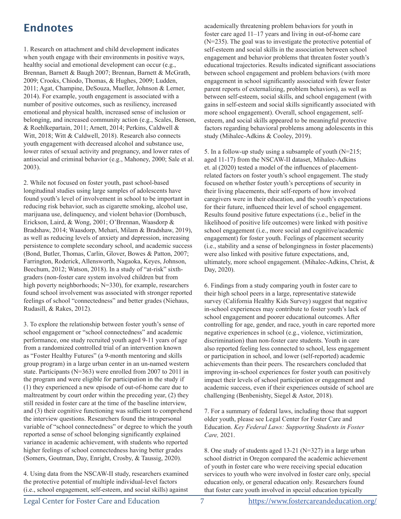# Endnotes

1. Research on attachment and child development indicates when youth engage with their environments in positive ways, healthy social and emotional development can occur (e.g., Brennan, Barnett & Baugh 2007; Brennan, Barnett & McGrath, 2009; Crooks, Chiodo, Thomas, & Hughes, 2009; Ludden, 2011; Agat, Champine, DeSouza, Mueller, Johnson & Lerner, 2014). For example, youth engagement is associated with a number of positive outcomes, such as resiliency, increased emotional and physical health, increased sense of inclusion or belonging, and increased community action (e.g., Scales, Benson, & Roehlkepartain, 2011; Arnett, 2014; Perkins, Caldwell & Witt, 2018; Witt & Caldwell, 2018). Research also connects youth engagement with decreased alcohol and substance use, lower rates of sexual activity and pregnancy, and lower rates of antisocial and criminal behavior (e.g., Mahoney, 2000; Sale et al. 2003).

2. While not focused on foster youth, past school-based longitudinal studies using large samples of adolescents have found youth's level of involvement in school to be important in reducing risk behavior, such as cigarette smoking, alcohol use, marijuana use, delinquency, and violent behavior (Dornbusch, Erickson, Laird, & Wong, 2001; O'Brennan, Waasdorp & Bradshaw, 2014; Waasdorp, Mehari, Milam & Bradshaw, 2019), as well as reducing levels of anxiety and depression, increasing persistence to complete secondary school, and academic success (Bond, Butler, Thomas, Carlin, Glover, Bowes & Patton, 2007; Farrington, Roderick, Allensworth, Nagaoka, Keyes, Johnson, Beechum, 2012; Watson, 2018). In a study of "at-risk" sixthgraders (non-foster care system involved children but from high poverty neighborhoods; N=330), for example, researchers found school involvement was associated with stronger reported feelings of school "connectedness" and better grades (Niehaus, Rudasill, & Rakes, 2012).

3. To explore the relationship between foster youth's sense of school engagement or "school connectedness" and academic performance, one study recruited youth aged 9-11 years of age from a randomized controlled trial of an intervention known as "Foster Healthy Futures" (a 9-month mentoring and skills group program) in a large urban center in an un-named western state. Participants (N=363) were enrolled from 2007 to 2011 in the program and were eligible for participation in the study if (1) they experienced a new episode of out‐of‐home care due to maltreatment by court order within the preceding year, (2) they still resided in foster care at the time of the baseline interview, and (3) their cognitive functioning was sufficient to comprehend the interview questions. Researchers found the intrapersonal variable of "school connectedness" or degree to which the youth reported a sense of school belonging significantly explained variance in academic achievement, with students who reported higher feelings of school connectedness having better grades (Somers, Goutman, Day, Enright, Crosby, & Taussig, 2020).

4. Using data from the NSCAW-II study, researchers examined the protective potential of multiple individual‐level factors (i.e., school engagement, self‐esteem, and social skills) against

academically threatening problem behaviors for youth in foster care aged 11–17 years and living in out-of-home care (N=235). The goal was to investigate the protective potential of self‐esteem and social skills in the association between school engagement and behavior problems that threaten foster youth's educational trajectories. Results indicated significant associations between school engagement and problem behaviors (with more engagement in school significantly associated with fewer foster parent reports of externalizing, problem behaviors), as well as between self‐esteem, social skills, and school engagement (with gains in self-esteem and social skills significantly associated with more school engagement). Overall, school engagement, self‐ esteem, and social skills appeared to be meaningful protective factors regarding behavioral problems among adolescents in this study (Mihalec-Adkins & Cooley, 2019).

5. In a follow-up study using a subsample of youth (N=215; aged 11-17) from the NSCAW-II dataset, Mihalec-Adkins et. al (2020) tested a model of the influences of placementrelated factors on foster youth's school engagement. The study focused on whether foster youth's perceptions of security in their living placements, their self-reports of how involved caregivers were in their education, and the youth's expectations for their future, influenced their level of school engagement. Results found positive future expectations (i.e., belief in the likelihood of positive life outcomes) were linked with positive school engagement (i.e., more social and cognitive/academic engagement) for foster youth. Feelings of placement security (i.e., stability and a sense of belongingness in foster placements) were also linked with positive future expectations, and, ultimately, more school engagement. (Mihalec-Adkins, Christ, & Day, 2020).

6. Findings from a study comparing youth in foster care to their high school peers in a large, representative statewide survey (California Healthy Kids Survey) suggest that negative in‐school experiences may contribute to foster youth's lack of school engagement and poorer educational outcomes. After controlling for age, gender, and race, youth in care reported more negative experiences in school (e.g., violence, victimization, discrimination) than non-foster care students. Youth in care also reported feeling less connected to school, less engagement or participation in school, and lower (self-reported) academic achievements than their peers. The researchers concluded that improving in-school experiences for foster youth can positively impact their levels of school participation or engagement and academic success, even if their experiences outside of school are challenging (Benbenishty, Siegel & Astor, 2018).

7. For a summary of federal laws, including those that support older youth, please see Legal Center for Foster Care and Education. *Key Federal Laws: Supporting Students in Foster Care,* 2021.

8. One study of students aged 13-21 (N=327) in a large urban school district in Oregon compared the academic achievement of youth in foster care who were receiving special education services to youth who were involved in foster care only, special education only, or general education only. Researchers found that foster care youth involved in special education typically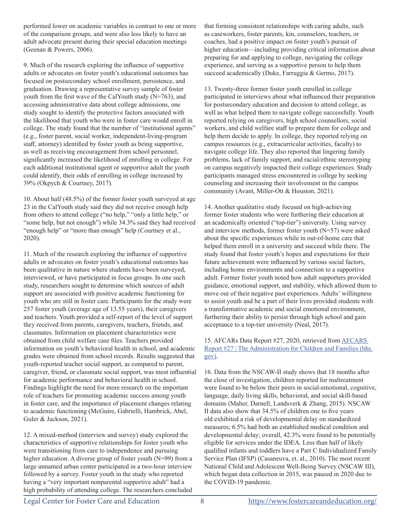performed lower on academic variables in contrast to one or more of the comparison groups, and were also less likely to have an adult advocate present during their special education meetings (Geenan & Powers, 2006).

9. Much of the research exploring the influence of supportive adults or advocates on foster youth's educational outcomes has focused on postsecondary school enrollment, persistence, and graduation. Drawing a representative survey sample of foster youth from the first wave of the CalYouth study (N=763), and accessing administrative data about college admissions, one study sought to identify the protective factors associated with the likelihood that youth who were in foster care would enroll in college. The study found that the number of "institutional agents" (e.g., foster parent, social worker, independent-living-program staff, attorney) identified by foster youth as being supportive, as well as receiving encouragement from school personnel, significantly increased the likelihood of enrolling in college. For each additional institutional agent or supportive adult the youth could identify, their odds of enrolling in college increased by 39% (Okpych & Courtney, 2017).

10. About half (48.5%) of the former foster youth surveyed at age 23 in the CalYouth study said they did not receive enough help from others to attend college ("no help," "only a little help," or "some help, but not enough") while 34.3% said they had received "enough help" or "more than enough" help (Courtney et al., 2020).

11. Much of the research exploring the influence of supportive adults or advocates on foster youth's educational outcomes has been qualitative in nature where students have been surveyed, interviewed, or have participated in focus groups. In one such study, researchers sought to determine which sources of adult support are associated with positive academic functioning for youth who are still in foster care. Participants for the study were 257 foster youth (average age of 13.55 years), their caregivers and teachers. Youth provided a self-report of the level of support they received from parents, caregivers, teachers, friends, and classmates. Information on placement characteristics were obtained from child welfare case files. Teachers provided information on youth's behavioral health in school, and academic grades were obtained from school records. Results suggested that youth-reported teacher social support, as compared to parent, caregiver, friend, or classmate social support, was most influential for academic performance and behavioral health in school. Findings highlight the need for more research on the important role of teachers for promoting academic success among youth in foster care, and the importance of placement changes relating to academic functioning (McGuire, Gabrielli, Hambrick, Abel, Guler & Jackson, 2021).

12. A mixed-method (interview and survey) study explored the characteristics of supportive relationships for foster youth who were transitioning from care to independence and pursuing higher education. A diverse group of foster youth (N=99) from a large unnamed urban center participated in a two-hour interview followed by a survey. Foster youth in the study who reported having a "very important nonparental supportive adult" had a high probability of attending college. The researchers concluded that forming consistent relationships with caring adults, such as caseworkers, foster parents, kin, counselors, teachers, or coaches, had a positive impact on foster youth's pursuit of higher education—including providing critical information about preparing for and applying to college, navigating the college experience, and serving as a supportive person to help them succeed academically (Duke, Farruggia & Germo, 2017).

13. Twenty-three former foster youth enrolled in college participated in interviews about what influenced their preparation for postsecondary education and decision to attend college, as well as what helped them to navigate college successfully. Youth reported relying on caregivers, high school counsellors, social workers, and child welfare staff to prepare them for college and help them decide to apply. In college, they reported relying on campus resources (e.g., extracurricular activities, faculty) to navigate college life. They also reported that lingering family problems, lack of family support, and racial/ethnic stereotyping on campus negatively impacted their college experiences. Study participants managed stress encountered in college by seeking counseling and increasing their involvement in the campus community (Avant, Miller-Ott & Houston, 2021).

14. Another qualitative study focused on high-achieving former foster students who were furthering their education at an academically oriented ("top-tier") university. Using survey and interview methods, former foster youth (N=57) were asked about the specific experiences while in out-of-home care that helped them enroll in a university and succeed while there. The study found that foster youth's hopes and expectations for their future achievement were influenced by various social factors, including home environments and connection to a supportive adult. Former foster youth noted how adult supporters provided guidance, emotional support, and stability, which allowed them to move out of their negative past experiences. Adults' willingness to assist youth and be a part of their lives provided students with a transformative academic and social emotional environment, furthering their ability to persist through high school and gain acceptance to a top-tier university (Neal, 2017).

15. AFCARs Data Report #27, 2020, retrieved from AFCARS Report #27 | The Administration for Children and Families (hhs. gov).

16. Data from the NSCAW-II study shows that 18 months after the close of investigation, children reported for maltreatment were found to be below their peers in social-emotional, cognitive, language, daily living skills, behavioral, and social skill-based domains (Maher, Darnell, Landsverk & Zhang, 2015). NSCAW II data also show that 34.5% of children one to five years old exhibited a risk of developmental delay on standardized measures; 6.5% had both an established medical condition and developmental delay; overall, 42.3% were found to be potentially eligible for services under the IDEA. Less than half of likely qualified infants and toddlers have a Part C Individualized Family Service Plan (IFSP) (Casaneuva, et. al., 2010). The most recent National Child and Adolescent Well-Being Survey (NSCAW III), which began data collection in 2015, was paused in 2020 due to the COVID-19 pandemic.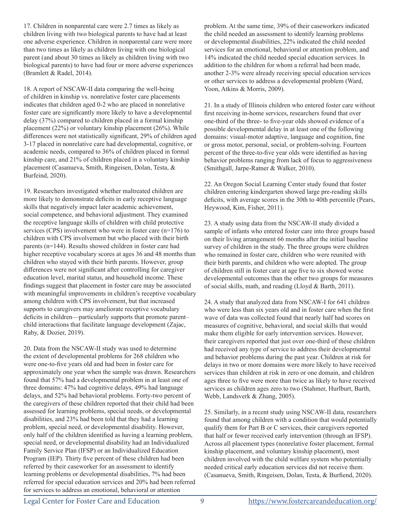17. Children in nonparental care were 2.7 times as likely as children living with two biological parents to have had at least one adverse experience. Children in nonparental care were more than two times as likely as children living with one biological parent (and about 30 times as likely as children living with two biological parents) to have had four or more adverse experiences (Bramlett & Radel, 2014).

18. A report of NSCAW-II data comparing the well-being of children in kinship vs. nonrelative foster care placements indicates that children aged 0-2 who are placed in nonrelative foster care are significantly more likely to have a developmental delay (37%) compared to children placed in a formal kinship placement (22%) or voluntary kinship placement (26%). While differences were not statistically significant, 29% of children aged 3-17 placed in nonrelative care had developmental, cognitive, or academic needs, compared to 36% of children placed in formal kinship care, and 21% of children placed in a voluntary kinship placement (Casanueva, Smith, Ringeisen, Dolan, Testa, & Burfeind, 2020).

19. Researchers investigated whether maltreated children are more likely to demonstrate deficits in early receptive language skills that negatively impact later academic achievement, social competence, and behavioral adjustment. They examined the receptive language skills of children with child protective services (CPS) involvement who were in foster care (n=176) to children with CPS involvement but who placed with their birth parents (n=144). Results showed children in foster care had higher receptive vocabulary scores at ages 36 and 48 months than children who stayed with their birth parents. However, group differences were not significant after controlling for caregiver education level, marital status, and household income. These findings suggest that placement in foster care may be associated with meaningful improvements in children's receptive vocabulary among children with CPS involvement, but that increased supports to caregivers may ameliorate receptive vocabulary deficits in children—particularly supports that promote parent– child interactions that facilitate language development (Zajac, Raby, & Dozier, 2019).

20. Data from the NSCAW-II study was used to determine the extent of developmental problems for 268 children who were one-to-five years old and had been in foster care for approximately one year when the sample was drawn. Researchers found that 57% had a developmental problem in at least one of three domains: 47% had cognitive delays, 49% had language delays, and 52% had behavioral problems. Forty-two percent of the caregivers of these children reported that their child had been assessed for learning problems, special needs, or developmental disabilities, and 23% had been told that they had a learning problem, special need, or developmental disability. However, only half of the children identified as having a learning problem, special need, or developmental disability had an Individualized Family Service Plan (IFSP) or an Individualized Education Program (IEP). Thirty five percent of these children had been referred by their caseworker for an assessment to identify learning problems or developmental disabilities, 7% had been referred for special education services and 20% had been referred for services to address an emotional, behavioral or attention

problem. At the same time, 39% of their caseworkers indicated the child needed an assessment to identify learning problems or developmental disabilities, 22% indicated the child needed services for an emotional, behavioral or attention problem, and 14% indicated the child needed special education services. In addition to the children for whom a referral had been made, another 2-3% were already receiving special education services or other services to address a developmental problem (Ward, Yoon, Atkins & Morris, 2009).

21. In a study of Illinois children who entered foster care without first receiving in-home services, researchers found that over one-third of the three- to five-year olds showed evidence of a possible developmental delay in at least one of the following domains: visual-motor adaptive, language and cognition, fine or gross motor, personal, social, or problem-solving. Fourteen percent of the three-to-five year olds were identified as having behavior problems ranging from lack of focus to aggressiveness (Smithgall, Jarpe-Ratner & Walker, 2010).

22. An Oregon Social Learning Center study found that foster children entering kindergarten showed large pre-reading skills deficits, with average scores in the 30th to 40th percentile (Pears, Heywood, Kim, Fisher, 2011).

23. A study using data from the NSCAW-II study divided a sample of infants who entered foster care into three groups based on their living arrangement 66 months after the initial baseline survey of children in the study. The three groups were children who remained in foster care, children who were reunited with their birth parents, and children who were adopted. The group of children still in foster care at age five to six showed worse developmental outcomes than the other two groups for measures of social skills, math, and reading (Lloyd & Barth, 2011).

24. A study that analyzed data from NSCAW-I for 641 children who were less than six years old and in foster care when the first wave of data was collected found that nearly half had scores on measures of cognitive, behavioral, and social skills that would make them eligible for early intervention services. However, their caregivers reported that just over one-third of these children had received any type of service to address their developmental and behavior problems during the past year. Children at risk for delays in two or more domains were more likely to have received services than children at risk in zero or one domain, and children ages three to five were more than twice as likely to have received services as children ages zero to two (Stahmer, Hurlburt, Barth, Webb, Landsverk & Zhang, 2005).

25. Similarly, in a recent study using NSCAW-II data, researchers found that among children with a condition that would potentially qualify them for Part B or C services, their caregivers reported that half or fewer received early intervention (through an IFSP). Across all placement types (nonrelative foster placement, formal kinship placement, and voluntary kinship placement), most children involved with the child welfare system who potentially needed critical early education services did not receive them. (Casanueva, Smith, Ringeisen, Dolan, Testa, & Burfiend, 2020).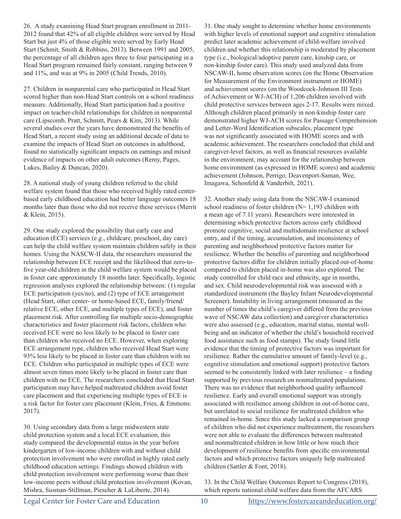26. A study examining Head Start program enrollment in 2011- 2012 found that 42% of all eligible children were served by Head Start but just 4% of those eligible were served by Early Head Start (Schmit, Smith & Robbins, 2013). Between 1991 and 2005, the percentage of all children ages three to four participating in a Head Start program remained fairly constant, ranging between 9 and 11%, and was at 9% in 2005 (Child Trends, 2010).

27. Children in nonparental care who participated in Head Start scored higher than non-Head Start controls on a school readiness measure. Additionally, Head Start participation had a positive impact on teacher-child relationships for children in nonparental care (Lipscomb, Pratt, Schmitt, Pears & Kim, 2013). While several studies over the years have demonstrated the benefits of Head Start, a recent study using an additional decade of data to examine the impacts of Head Start on outcomes in adulthood, found no statistically significant impacts on earnings and mixed evidence of impacts on other adult outcomes (Remy, Pages, Lukes, Bailey & Duncan, 2020).

28. A national study of young children referred to the child welfare system found that those who received highly rated centerbased early childhood education had better language outcomes 18 months later than those who did not receive these services (Merrit & Klein, 2015).

29. One study explored the possibility that early care and education (ECE) services (e.g., childcare, preschool, day care) can help the child welfare system maintain children safely in their homes. Using the NASCW-II data, the researchers measured the relationship between ECE receipt and the likelihood that zero-tofive year-old children in the child welfare system would be placed in foster care approximately 18 months later. Specifically, logistic regression analyses explored the relationship between: (1) regular ECE participation (yes/no), and (2) type of ECE arrangement (Head Start, other center- or home-based ECE, family/friend/ relative ECE, other ECE, and multiple types of ECE), and foster placement risk. After controlling for multiple socio-demographic characteristics and foster placement risk factors, children who received ECE were no less likely to be placed in foster care than children who received no ECE. However, when exploring ECE arrangement type, children who received Head Start were 93% less likely to be placed in foster care than children with no ECE. Children who participated in multiple types of ECE were almost seven times more likely to be placed in foster care than children with no ECE. The researchers concluded that Head Start participation may have helped maltreated children avoid foster care placement and that experiencing multiple types of ECE is a risk factor for foster care placement (Klein, Fries, & Emmons. 2017).

30. Using secondary data from a large midwestern state child protection system and a local ECE evaluation, this study compared the developmental status in the year before kindergarten of low-income children with and without child protection involvement who were enrolled in highly rated early childhood education settings. Findings showed children with child protection involvement were performing worse than their low-income peers without child protection involvement (Kovan, Mishra, Susman-Stillman, Piescher & LaLiberte, 2014).

31. One study sought to determine whether home environments with higher levels of emotional support and cognitive stimulation predict later academic achievement of child-welfare involved children and whether this relationship is moderated by placement type (i.e., biological/adoptive parent care, kinship care, or non-kinship foster care). This study used analyzed data from NSCAW-II, home observation scores (on the Home Observation for Measurement of the Environment instrument or HOME) and achievement scores (on the Woodcock-Johnson III Tests of Achievement or WJ-ACH) of 1,206 children involved with child protective services between ages 2-17. Results were mixed. Although children placed primarily in non-kinship foster care demonstrated higher WJ-ACH scores for Passage Comprehension and Letter-Word Identification subscales, placement type was not significantly associated with HOME scores and with academic achievement. The researchers concluded that child and caregiver-level factors, as well as financial resources available in the environment, may account for the relationship between home environment (as expressed in HOME scores) and academic achievement (Johnson, Perrigo, Deavenport-Saman, Wee, Imagawa, Schonfeld & Vanderbilt, 2021).

32. Another study using data from the NSCAW-I examined school readiness of foster children (N= 1,193 children with a mean age of 7.11 years). Researchers were interested in determining which protective factors across early childhood promote cognitive, social and multidomain resilience at school entry, and if the timing, accumulation, and inconsistency of parenting and neighborhood protective factors matter for resilience. Whether the benefits of parenting and neighborhood protective factors differ for children initially placed out-of-home compared to children placed in-home was also explored. The study controlled for child race and ethnicity, age in months, and sex. Child neurodevelopmental risk was assessed with a standardized instrument (the Bayley Infant Neurodevelopmental Screener). Instability in living arrangement (measured as the number of times the child's caregiver differed from the previous wave of NSCAW data collection) and caregiver characteristics were also assessed (e.g., education, marital status, mental wellbeing and an indicator of whether the child's household received food assistance such as food stamps). The study found little evidence that the timing of protective factors was important for resilience. Rather the cumulative amount of family-level (e.g., cognitive stimulation and emotional support) protective factors seemed to be consistently linked with later resilience – a finding supported by previous research on nonmaltreated populations. There was no evidence that neighborhood quality influenced resilience. Early and overall emotional support was strongly associated with resilience among children in out-of-home care, but unrelated to social resilience for maltreated children who remained in-home. Since this study lacked a comparison group of children who did not experience maltreatment, the researchers were not able to evaluate the differences between maltreated and nonmaltreated children in how little or how much their development of resilience benefits from specific environmental factors and which protective factors uniquely help maltreated children (Sattler & Font, 2018).

33. In the Child Welfare Outcomes Report to Congress (2018), which reports national child welfare data from the AFCARS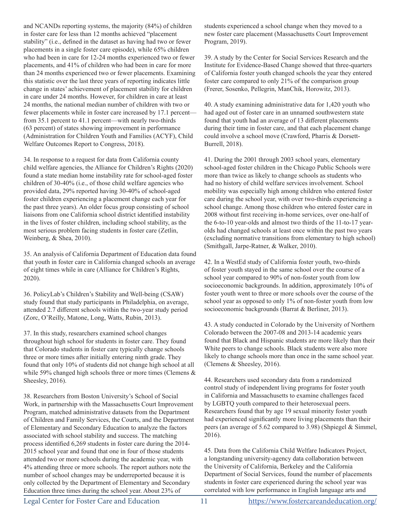and NCANDs reporting systems, the majority (84%) of children in foster care for less than 12 months achieved "placement stability" (i.e., defined in the dataset as having had two or fewer placements in a single foster care episode), while 65% children who had been in care for 12-24 months experienced two or fewer placements, and 41% of children who had been in care for more than 24 months experienced two or fewer placements. Examining this statistic over the last three years of reporting indicates little change in states' achievement of placement stability for children in care under 24 months. However, for children in care at least 24 months, the national median number of children with two or fewer placements while in foster care increased by 17.1 percent from 35.1 percent to 41.1 percent—with nearly two-thirds (63 percent) of states showing improvement in performance (Administration for Children Youth and Families (ACYF), Child Welfare Outcomes Report to Congress, 2018).

34. In response to a request for data from California county child welfare agencies, the Alliance for Children's Rights (2020) found a state median home instability rate for school-aged foster children of 30-40% (i.e., of those child welfare agencies who provided data, 29% reported having 30-40% of school-aged foster children experiencing a placement change each year for the past three years). An older focus group consisting of school liaisons from one California school district identified instability in the lives of foster children, including school stability, as the most serious problem facing students in foster care (Zetlin, Weinberg, & Shea, 2010).

35. An analysis of California Department of Education data found that youth in foster care in California changed schools an average of eight times while in care (Alliance for Children's Rights, 2020).

36. PolicyLab's Children's Stability and Well-being (CSAW) study found that study participants in Philadelphia, on average, attended 2.7 different schools within the two-year study period (Zorc, O'Reilly, Matone, Long, Watts, Rubin, 2013).

37. In this study, researchers examined school changes throughout high school for students in foster care. They found that Colorado students in foster care typically change schools three or more times after initially entering ninth grade. They found that only 10% of students did not change high school at all while 59% changed high schools three or more times (Clemens & Sheesley, 2016).

38. Researchers from Boston University's School of Social Work, in partnership with the Massachusetts Court Improvement Program, matched administrative datasets from the Department of Children and Family Services, the Courts, and the Department of Elementary and Secondary Education to analyze the factors associated with school stability and success. The matching process identified 6,269 students in foster care during the 2014- 2015 school year and found that one in four of those students attended two or more schools during the academic year, with 4% attending three or more schools. The report authors note the number of school changes may be underreported because it is only collected by the Department of Elementary and Secondary Education three times during the school year. About 23% of

students experienced a school change when they moved to a new foster care placement (Massachusetts Court Improvement Program, 2019).

39. A study by the Center for Social Services Research and the Institute for Evidence-Based Change showed that three-quarters of California foster youth changed schools the year they entered foster care compared to only 21% of the comparison group (Frerer, Sosenko, Pellegrin, ManChik, Horowitz, 2013).

40. A study examining administrative data for 1,420 youth who had aged out of foster care in an unnamed southwestern state found that youth had an average of 13 different placements during their time in foster care, and that each placement change could involve a school move (Crawford, Pharris & Dorsett-Burrell, 2018).

41. During the 2001 through 2003 school years, elementary school-aged foster children in the Chicago Public Schools were more than twice as likely to change schools as students who had no history of child welfare services involvement. School mobility was especially high among children who entered foster care during the school year, with over two-thirds experiencing a school change. Among those children who entered foster care in 2008 without first receiving in-home services, over one-half of the 6-to-10 year-olds and almost two thirds of the 11-to-17 yearolds had changed schools at least once within the past two years (excluding normative transitions from elementary to high school) (Smithgall, Jarpe-Ratner, & Walker, 2010).

42. In a WestEd study of California foster youth, two-thirds of foster youth stayed in the same school over the course of a school year compared to 90% of non-foster youth from low socioeconomic backgrounds. In addition, approximately 10% of foster youth went to three or more schools over the course of the school year as opposed to only 1% of non-foster youth from low socioeconomic backgrounds (Barrat & Berliner, 2013).

43. A study conducted in Colorado by the University of Northern Colorado between the 2007-08 and 2013-14 academic years found that Black and Hispanic students are more likely than their White peers to change schools. Black students were also more likely to change schools more than once in the same school year. (Clemens & Sheesley, 2016).

44. Researchers used secondary data from a randomized control study of independent living programs for foster youth in California and Massachusetts to examine challenges faced by LGBTQ youth compared to their heterosexual peers. Researchers found that by age 19 sexual minority foster youth had experienced significantly more living placements than their peers (an average of 5.62 compared to 3.98) (Shpiegel & Simmel, 2016).

45. Data from the California Child Welfare Indicators Project, a longstanding university-agency data collaboration between the University of California, Berkeley and the California Department of Social Services, found the number of placements students in foster care experienced during the school year was correlated with low performance in English language arts and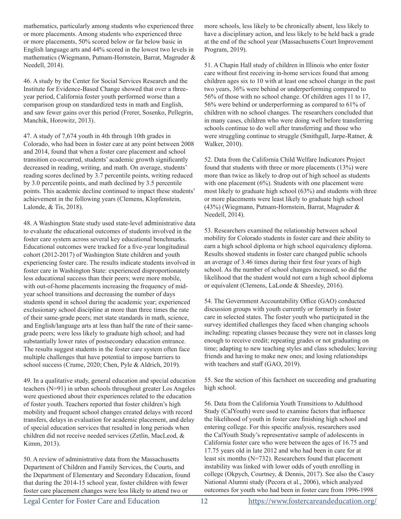mathematics, particularly among students who experienced three or more placements. Among students who experienced three or more placements, 50% scored below or far below basic in English language arts and 44% scored in the lowest two levels in mathematics (Wiegmann, Putnam-Hornstein, Barrat, Magruder & Needell, 2014).

46. A study by the Center for Social Services Research and the Institute for Evidence-Based Change showed that over a threeyear period, California foster youth performed worse than a comparison group on standardized tests in math and English, and saw fewer gains over this period (Frerer, Sosenko, Pellegrin, Manchik, Horowitz, 2013).

47. A study of 7,674 youth in 4th through 10th grades in Colorado, who had been in foster care at any point between 2008 and 2014, found that when a foster care placement and school transition co‐occurred, students' academic growth significantly decreased in reading, writing, and math. On average, students' reading scores declined by 3.7 percentile points, writing reduced by 3.0 percentile points, and math declined by 3.5 percentile points. This academic decline continued to impact these students' achievement in the following years (Clemens, Klopfenstein, Lalonde, & Tis, 2018).

48. A Washington State study used state-level administrative data to evaluate the educational outcomes of students involved in the foster care system across several key educational benchmarks. Educational outcomes were tracked for a five-year longitudinal cohort (2012-2017) of Washington State children and youth experiencing foster care. The results indicate students involved in foster care in Washington State: experienced disproportionately less educational success than their peers; were more mobile, with out-of-home placements increasing the frequency of midyear school transitions and decreasing the number of days students spend in school during the academic year; experienced exclusionary school discipline at more than three times the rate of their same-grade peers; met state standards in math, science, and English/language arts at less than half the rate of their samegrade peers; were less likely to graduate high school; and had substantially lower rates of postsecondary education entrance. The results suggest students in the foster care system often face multiple challenges that have potential to impose barriers to school success (Crume, 2020; Chen, Pyle & Aldrich, 2019).

49. In a qualitative study, general education and special education teachers (N=91) in urban schools throughout greater Los Angeles were questioned about their experiences related to the education of foster youth. Teachers reported that foster children's high mobility and frequent school changes created delays with record transfers, delays in evaluation for academic placement, and delay of special education services that resulted in long periods when children did not receive needed services (Zetlin, MacLeod, & Kimm, 2013).

50. A review of administrative data from the Massachusetts Department of Children and Family Services, the Courts, and the Department of Elementary and Secondary Education, found that during the 2014-15 school year, foster children with fewer foster care placement changes were less likely to attend two or

more schools, less likely to be chronically absent, less likely to have a disciplinary action, and less likely to be held back a grade at the end of the school year (Massachusetts Court Improvement Program, 2019).

51. A Chapin Hall study of children in Illinois who enter foster care without first receiving in-home services found that among children ages six to 10 with at least one school change in the past two years, 36% were behind or underperforming compared to 56% of those with no school change. Of children ages 11 to 17, 56% were behind or underperforming as compared to 61% of children with no school changes. The researchers concluded that in many cases, children who were doing well before transferring schools continue to do well after transferring and those who were struggling continue to struggle (Smithgall, Jarpe-Ratner, & Walker, 2010).

52. Data from the California Child Welfare Indicators Project found that students with three or more placements (13%) were more than twice as likely to drop out of high school as students with one placement  $(6\%)$ . Students with one placement were most likely to graduate high school (63%) and students with three or more placements were least likely to graduate high school (43%) (Wiegmann, Putnam-Hornstein, Barrat, Magruder & Needell, 2014).

53. Researchers examined the relationship between school mobility for Colorado students in foster care and their ability to earn a high school diploma or high school equivalency diploma. Results showed students in foster care changed public schools an average of 3.46 times during their first four years of high school. As the number of school changes increased, so did the likelihood that the student would not earn a high school diploma or equivalent (Clemens, LaLonde & Sheesley, 2016).

54. The Government Accountability Office (GAO) conducted discussion groups with youth currently or formerly in foster care in selected states. The foster youth who participated in the survey identified challenges they faced when changing schools including: repeating classes because they were not in classes long enough to receive credit; repeating grades or not graduating on time; adapting to new teaching styles and class schedules; leaving friends and having to make new ones; and losing relationships with teachers and staff (GAO, 2019).

55. See the section of this factsheet on succeeding and graduating high school.

56. Data from the California Youth Transitions to Adulthood Study (CalYouth) were used to examine factors that influence the likelihood of youth in foster care finishing high school and entering college. For this specific analysis, researchers used the CalYouth Study's representative sample of adolescents in California foster care who were between the ages of 16.75 and 17.75 years old in late 2012 and who had been in care for at least six months (N=732). Researchers found that placement instability was linked with lower odds of youth enrolling in college (Okpych, Courtney, & Dennis, 2017). See also the Casey National Alumni study (Pecora et al., 2006), which analyzed outcomes for youth who had been in foster care from 1996-1998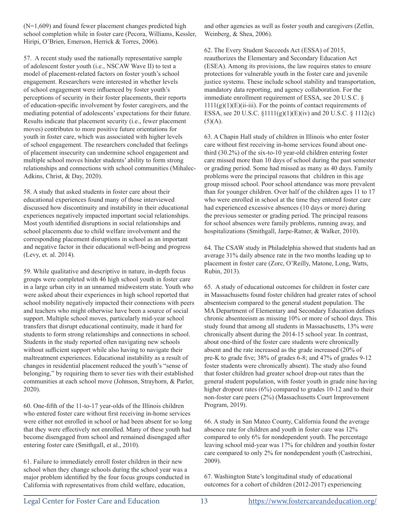(N=1,609) and found fewer placement changes predicted high school completion while in foster care (Pecora, Williams, Kessler, Hiripi, O'Brien, Emerson, Herrick & Torres, 2006).

57. A recent study used the nationally representative sample of adolescent foster youth (i.e., NSCAW Wave II) to test a model of placement-related factors on foster youth's school engagement. Researchers were interested in whether levels of school engagement were influenced by foster youth's perceptions of security in their foster placements, their reports of education-specific involvement by foster caregivers, and the mediating potential of adolescents' expectations for their future. Results indicate that placement security (i.e., fewer placement moves) contributes to more positive future orientations for youth in foster care, which was associated with higher levels of school engagement. The researchers concluded that feelings of placement insecurity can undermine school engagement and multiple school moves hinder students' ability to form strong relationships and connections with school communities (Mihalec‐ Adkins, Christ, & Day, 2020).

58. A study that asked students in foster care about their educational experiences found many of those interviewed discussed how discontinuity and instability in their educational experiences negatively impacted important social relationships. Most youth identified disruptions in social relationships and school placements due to child welfare involvement and the corresponding placement disruptions in school as an important and negative factor in their educational well-being and progress (Levy, et. al. 2014).

59. While qualitative and descriptive in nature, in-depth focus groups were completed with 46 high school youth in foster care in a large urban city in an unnamed midwestern state. Youth who were asked about their experiences in high school reported that school mobility negatively impacted their connections with peers and teachers who might otherwise have been a source of social support. Multiple school moves, particularly mid-year school transfers that disrupt educational continuity, made it hard for students to form strong relationships and connections in school. Students in the study reported often navigating new schools without sufficient support while also having to navigate their maltreatment experiences. Educational instability as a result of changes in residential placement reduced the youth's "sense of belonging," by requiring them to sever ties with their established communities at each school move (Johnson, Strayhorn, & Parler, 2020).

60. One-fifth of the 11-to-17 year-olds of the Illinois children who entered foster care without first receiving in-home services were either not enrolled in school or had been absent for so long that they were effectively not enrolled. Many of these youth had become disengaged from school and remained disengaged after entering foster care (Smithgall, et al., 2010).

61. Failure to immediately enroll foster children in their new school when they change schools during the school year was a major problem identified by the four focus groups conducted in California with representatives from child welfare, education,

and other agencies as well as foster youth and caregivers (Zetlin, Weinberg, & Shea, 2006).

62. The Every Student Succeeds Act (ESSA) of 2015, reauthorizes the Elementary and Secondary Education Act (ESEA). Among its provisions, the law requires states to ensure protections for vulnerable youth in the foster care and juvenile justice systems. These include school stability and transportation, mandatory data reporting, and agency collaboration. For the immediate enrollment requirement of ESSA, see 20 U.S.C. §  $1111(g)(1)(E)(ii-iii)$ . For the points of contact requirements of ESSA, see 20 U.S.C. §1111(g)(1)(E)(iv) and 20 U.S.C. § 1112(c)  $(5)(A).$ 

63. A Chapin Hall study of children in Illinois who enter foster care without first receiving in-home services found about onethird (30.2%) of the six-to-10 year-old children entering foster care missed more than 10 days of school during the past semester or grading period. Some had missed as many as 40 days. Family problems were the principal reasons that children in this age group missed school. Poor school attendance was more prevalent than for younger children. Over half of the children ages 11 to 17 who were enrolled in school at the time they entered foster care had experienced excessive absences (10 days or more) during the previous semester or grading period. The principal reasons for school absences were family problems, running away, and hospitalizations (Smithgall, Jarpe-Ratner, & Walker, 2010).

64. The CSAW study in Philadelphia showed that students had an average 31% daily absence rate in the two months leading up to placement in foster care (Zorc, O'Reilly, Matone, Long, Watts, Rubin, 2013).

65. A study of educational outcomes for children in foster care in Massachusetts found foster children had greater rates of school absenteeism compared to the general student population. The MA Department of Elementary and Secondary Education defines chronic absenteeism as missing 10% or more of school days. This study found that among all students in Massachusetts, 13% were chronically absent during the 2014-15 school year. In contrast, about one-third of the foster care students were chronically absent and the rate increased as the grade increased (20% of pre-K to grade five; 38% of grades 6-8; and 47% of grades 9-12 foster students were chronically absent). The study also found that foster children had greater school drop-out rates than the general student population, with foster youth in grade nine having higher dropout rates (6%) compared to grades 10-12 and to their non-foster care peers (2%) (Massachusetts Court Improvement Program, 2019).

66. A study in San Mateo County, California found the average absence rate for children and youth in foster care was 12% compared to only 6% for nondependent youth. The percentage leaving school mid-year was 17% for children and youthin foster care compared to only 2% for nondependent youth (Castrechini, 2009).

67. Washington State's longitudinal study of educational outcomes for a cohort of children (2012-2017) experiencing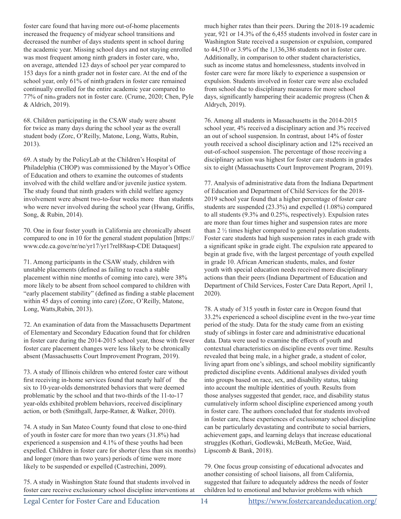foster care found that having more out-of-home placements increased the frequency of midyear school transitions and decreased the number of days students spent in school during the academic year. Missing school days and not staying enrolled was most frequent among ninth graders in foster care, who, on average, attended 123 days of school per year compared to 153 days for a ninth grader not in foster care. At the end of the school year, only 61% of ninth graders in foster care remained continually enrolled for the entire academic year compared to 77% of ninth graders not in foster care. (Crume, 2020; Chen, Pyle & Aldrich, 2019).

68. Children participating in the CSAW study were absent for twice as many days during the school year as the overall student body (Zorc, O'Reilly, Matone, Long, Watts, Rubin, 2013).

69. A study by the PolicyLab at the Children's Hospital of Philadelphia (CHOP) was commissioned by the Mayor's Office of Education and others to examine the outcomes of students involved with the child welfare and/or juvenile justice system. The study found that ninth graders with child welfare agency involvement were absent two-to-four weeks more than students who were never involved during the school year (Hwang, Griffis, Song, & Rubin, 2014).

70. One in four foster youth in California are chronically absent compared to one in 10 for the general student population [https:// www.cde.ca.gove/nr/ne/yr17/yr17rel88asp-CDE Dataquest]

71. Among participants in the CSAW study, children with unstable placements (defined as failing to reach a stable placement within nine months of coming into care), were 38% more likely to be absent from school compared to children with "early placement stability" (defined as finding a stable placement within 45 days of coming into care) (Zorc, O'Reilly, Matone, Long, Watts,Rubin, 2013).

72. An examination of data from the Massachusetts Department of Elementary and Secondary Education found that for children in foster care during the 2014-2015 school year, those with fewer foster care placement changes were less likely to be chronically absent (Massachusetts Court Improvement Program, 2019).

73. A study of Illinois children who entered foster care without first receiving in-home services found that nearly half of the six to 10-year-olds demonstrated behaviors that were deemed problematic by the school and that two-thirds of the 11-to-17 year-olds exhibited problem behaviors, received disciplinary action, or both (Smithgall, Jarpe-Ratner, & Walker, 2010).

74. A study in San Mateo County found that close to one-third of youth in foster care for more than two years (31.8%) had experienced a suspension and 4.1% of these youths had been expelled. Children in foster care for shorter (less than six months) and longer (more than two years) periods of time were more likely to be suspended or expelled (Castrechini, 2009).

75. A study in Washington State found that students involved in foster care receive exclusionary school discipline interventions at much higher rates than their peers. During the 2018-19 academic year, 921 or 14.3% of the 6,455 students involved in foster care in Washington State received a suspension or expulsion, compared to 44,510 or 3.9% of the 1,136,386 students not in foster care. Additionally, in comparison to other student characteristics, such as income status and homelessness, students involved in foster care were far more likely to experience a suspension or expulsion. Students involved in foster care were also excluded from school due to disciplinary measures for more school days, significantly hampering their academic progress (Chen & Aldrych, 2019).

76. Among all students in Massachusetts in the 2014-2015 school year, 4% received a disciplinary action and 3% received an out of school suspension. In contrast, about 14% of foster youth received a school disciplinary action and 12% received an out-of-school suspension. The percentage of those receiving a disciplinary action was highest for foster care students in grades six to eight (Massachusetts Court Improvement Program, 2019).

77. Analysis of administrative data from the Indiana Department of Education and Department of Child Services for the 2018- 2019 school year found that a higher percentage of foster care students are suspended (23.3%) and expelled (1.08%) compared to all students (9.3% and 0.25%, respectively). Expulsion rates are more than four times higher and suspension rates are more than 2 ½ times higher compared to general population students. Foster care students had high suspension rates in each grade with a significant spike in grade eight. The expulsion rate appeared to begin at grade five, with the largest percentage of youth expelled in grade 10. African American students, males, and foster youth with special education needs received more disciplinary actions than their peers (Indiana Department of Education and Department of Child Services, Foster Care Data Report, April 1, 2020).

78. A study of 315 youth in foster care in Oregon found that 33.2% experienced a school discipline event in the two‐year time period of the study. Data for the study came from an existing study of siblings in foster care and administrative educational data. Data were used to examine the effects of youth and contextual characteristics on discipline events over time. Results revealed that being male, in a higher grade, a student of color, living apart from one's siblings, and school mobility significantly predicted discipline events. Additional analyses divided youth into groups based on race, sex, and disability status, taking into account the multiple identities of youth. Results from those analyses suggested that gender, race, and disability status cumulatively inform school discipline experienced among youth in foster care. The authors concluded that for students involved in foster care, these experiences of exclusionary school discipline can be particularly devastating and contribute to social barriers, achievement gaps, and learning delays that increase educational struggles (Kothari, Godlewski, McBeath, McGee, Waid, Lipscomb & Bank, 2018).

79. One focus group consisting of educational advocates and another consisting of school liaisons, all from California, suggested that failure to adequately address the needs of foster children led to emotional and behavior problems with which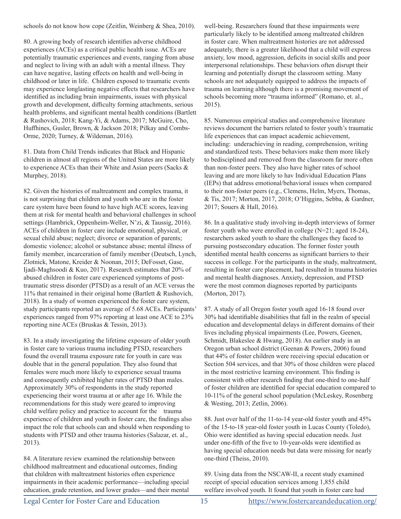schools do not know how cope (Zeitlin, Weinberg & Shea, 2010).

80. A growing body of research identifies adverse childhood experiences (ACEs) as a critical public health issue. ACEs are potentially traumatic experiences and events, ranging from abuse and neglect to living with an adult with a mental illness. They can have negative, lasting effects on health and well-being in childhood or later in life. Children exposed to traumatic events may experience longlasting negative effects that researchers have identified as including brain impairments, issues with physical growth and development, difficulty forming attachments, serious health problems, and significant mental health conditions (Bartlett & Rushovich, 2018; Kang-Yi, & Adams, 2017; McGuire, Cho, Huffhines, Gusler, Brown, & Jackson 2018; Pilkay and Combs-Orme, 2020; Turney, & Wildeman, 2016).

81. Data from Child Trends indicates that Black and Hispanic children in almost all regions of the United States are more likely to experience ACEs than their White and Asian peers (Sacks & Murphey, 2018).

82. Given the histories of maltreatment and complex trauma, it is not surprising that children and youth who are in the foster care system have been found to have high ACE scores, leaving them at risk for mental health and behavioral challenges in school settings (Hambrick, Oppenheim-Weller, N'zi, & Taussig, 2016). ACEs of children in foster care include emotional, physical, or sexual child abuse; neglect; divorce or separation of parents; domestic violence; alcohol or substance abuse; mental illness of family member, incarceration of family member (Deutsch, Lynch, Zlotnick, Matone, Kreider & Noonan, 2015; DeFosset, Gase, Ijadi-Maghsoodi & Kuo, 2017). Research estimates that 20% of abused children in foster care experienced symptoms of posttraumatic stress disorder (PTSD) as a result of an ACE versus the 11% that remained in their original home (Bartlett & Rushovich, 2018). In a study of women experienced the foster care system, study participants reported an average of 5.68 ACEs. Participants' experiences ranged from 97% reporting at least one ACE to 23% reporting nine ACEs (Bruskas & Tessin, 2013).

83. In a study investigating the lifetime exposure of older youth in foster care to various trauma including PTSD, researchers found the overall trauma exposure rate for youth in care was double that in the general population. They also found that females were much more likely to experience sexual trauma and consequently exhibited higher rates of PTSD than males. Approximately 30% of respondents in the study reported experiencing their worst trauma at or after age 16. While the recommendations for this study were geared to improving child welfare policy and practice to account for the trauma experience of children and youth in foster care, the findings also impact the role that schools can and should when responding to students with PTSD and other trauma histories (Salazar, et. al., 2013).

84. A literature review examined the relationship between childhood maltreatment and educational outcomes, finding that children with maltreatment histories often experience impairments in their academic performance—including special education, grade retention, and lower grades—and their mental

well-being. Researchers found that these impairments were particularly likely to be identified among maltreated children in foster care. When maltreatment histories are not addressed adequately, there is a greater likelihood that a child will express anxiety, low mood, aggression, deficits in social skills and poor interpersonal relationships. These behaviors often disrupt their learning and potentially disrupt the classroom setting. Many schools are not adequately equipped to address the impacts of trauma on learning although there is a promising movement of schools becoming more "trauma informed" (Romano, et. al., 2015).

85. Numerous empirical studies and comprehensive literature reviews document the barriers related to foster youth's traumatic life experiences that can impact academic achievement, including: underachieving in reading, comprehension, writing and standardized tests. These behaviors make them more likely to bedisciplined and removed from the classroom far more often than non-foster peers. They also have higher rates of school leaving and are more likely to hav Individual Education Plans (IEPs) that address emotional/behavioral issues when compared to their non-foster peers (e.g., Clemens, Helm, Myers, Thomas, & Tis, 2017; Morton, 2017, 2018; O'Higgins, Sebba, & Gardner, 2017; Souers & Hall, 2016).

86. In a qualitative study involving in-depth interviews of former foster youth who were enrolled in college (N=21; aged 18-24), researchers asked youth to share the challenges they faced to pursuing postsecondary education. The former foster youth identified mental health concerns as significant barriers to their success in college. For the participants in the study, maltreatment, resulting in foster care placement, had resulted in trauma histories and mental health diagnoses. Anxiety, depression, and PTSD were the most common diagnoses reported by participants (Morton, 2017).

87. A study of all Oregon foster youth aged 16-18 found over 30% had identifiable disabilities that fall in the realm of special education and developmental delays in different domains of their lives including physical impairments (Lee, Powers, Geenen, Schmidt, Blakeslee & Hwang, 2018). An earlier study in an Oregon urban school district (Geenan & Powers, 2006) found that 44% of foster children were receiving special education or Section 504 services, and that 30% of those children were placed in the most restrictive learning environment. This finding is consistent with other research finding that one-third to one-half of foster children are identified for special education compared to 10-11% of the general school population (McLeskey, Rosenberg & Westing, 2013; Zetlin, 2006).

88. Just over half of the 11-to-14 year-old foster youth and 45% of the 15-to-18 year-old foster youth in Lucas County (Toledo), Ohio were identified as having special education needs. Just under one-fifth of the five to 10-year-olds were identified as having special education needs but data were missing for nearly one-third (Theiss, 2010).

89. Using data from the NSCAW-II, a recent study examined receipt of special education services among 1,855 child welfare involved youth. It found that youth in foster care had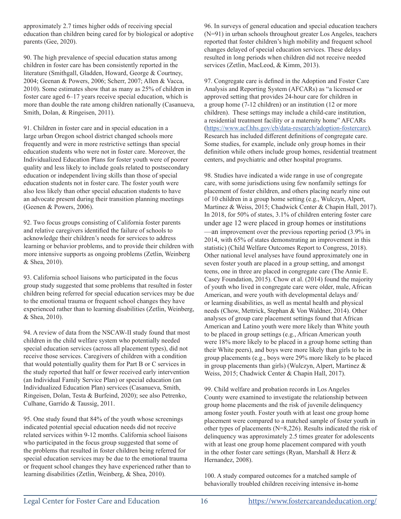approximately 2.7 times higher odds of receiving special education than children being cared for by biological or adoptive parents (Gee, 2020).

90. The high prevalence of special education status among children in foster care has been consistently reported in the literature (Smithgall, Gladden, Howard, George & Courtney, 2004; Geenan & Powers, 2006; Scherr, 2007; Allen & Vacca, 2010). Some estimates show that as many as 25% of children in foster care aged 6–17 years receive special education, which is more than double the rate among children nationally (Casanueva, Smith, Dolan, & Ringeisen, 2011).

91. Children in foster care and in special education in a large urban Oregon school district changed schools more frequently and were in more restrictive settings than special education students who were not in foster care. Moreover, the Individualized Education Plans for foster youth were of poorer quality and less likely to include goals related to postsecondary education or independent living skills than those of special education students not in foster care. The foster youth were also less likely than other special education students to have an advocate present during their transition planning meetings (Geenen & Powers, 2006).

92. Two focus groups consisting of California foster parents and relative caregivers identified the failure of schools to acknowledge their children's needs for services to address learning or behavior problems, and to provide their children with more intensive supports as ongoing problems (Zetlin, Weinberg & Shea, 2010).

93. California school liaisons who participated in the focus group study suggested that some problems that resulted in foster children being referred for special education services may be due to the emotional trauma or frequent school changes they have experienced rather than to learning disabilities (Zetlin, Weinberg, & Shea, 2010).

94. A review of data from the NSCAW-II study found that most children in the child welfare system who potentially needed special education services (across all placement types), did not receive those services. Caregivers of children with a condition that would potentially quality them for Part B or C services in the study reported that half or fewer received early intervention (an Individual Family Service Plan) or special education (an Individualized Education Plan) services (Casanueva, Smith, Ringeisen, Dolan, Testa & Burfeind, 2020); see also Petrenko, Culhane, Garrido & Taussig, 2011.

95. One study found that 84% of the youth whose screenings indicated potential special education needs did not receive related services within 9-12 months. California school liaisons who participated in the focus group suggested that some of the problems that resulted in foster children being referred for special education services may be due to the emotional trauma or frequent school changes they have experienced rather than to learning disabilities (Zetlin, Weinberg, & Shea, 2010).

96. In surveys of general education and special education teachers (N=91) in urban schools throughout greater Los Angeles, teachers reported that foster children's high mobility and frequent school changes delayed of special education services. These delays resulted in long periods when children did not receive needed services (Zetlin, MacLeod, & Kimm, 2013).

97. Congregate care is defined in the Adoption and Foster Care Analysis and Reporting System (AFCARs) as "a licensed or approved setting that provides 24-hour care for children in a group home (7-12 children) or an institution (12 or more children). These settings may include a child-care institution, a residential treatment facility or a maternity home" AFCARs (https://www.acf.hhs.gov/cb/data-research/adoption-fostercare). Research has included different definitions of congregate care. Some studies, for example, include only group homes in their definition while others include group homes, residential treatment centers, and psychiatric and other hospital programs.

98. Studies have indicated a wide range in use of congregate care, with some jurisdictions using few nonfamily settings for placement of foster children, and others placing nearly nine out of 10 children in a group home setting (e.g., Wulczyn, Alpert, Martinez & Weiss, 2015; Chadwick Center & Chapin Hall, 2017). In 2018, for 50% of states, 3.1% of children entering foster care under age 12 were placed in group homes or institutions —an improvement over the previous reporting period (3.9% in 2014, with 65% of states demonstrating an improvement in this statistic) (Child Welfare Outcomes Report to Congress, 2018). Other national level analyses have found approximately one in seven foster youth are placed in a group setting, and amongst teens, one in three are placed in congregate care (The Annie E. Casey Foundation, 2015). Chow et al. (2014) found the majority of youth who lived in congregate care were older, male, African American, and were youth with developmental delays and/ or learning disabilities, as well as mental health and physical needs (Chow, Mettrick, Stephan & Von Waldner, 2014). Other analyses of group care placement settings found that African American and Latino youth were more likely than White youth to be placed in group settings (e.g., African American youth were 18% more likely to be placed in a group home setting than their White peers), and boys were more likely than girls to be in group placements (e.g., boys were 29% more likely to be placed in group placements than girls) (Wulczyn, Alpert, Martinez & Weiss, 2015; Chadwick Center & Chapin Hall, 2017).

99. Child welfare and probation records in Los Angeles County were examined to investigate the relationship between group home placements and the risk of juvenile delinquency among foster youth. Foster youth with at least one group home placement were compared to a matched sample of foster youth in other types of placements (N=8,226). Results indicated the risk of delinquency was approximately 2.5 times greater for adolescents with at least one group home placement compared with youth in the other foster care settings (Ryan, Marshall & Herz & Hernandez, 2008).

100. A study compared outcomes for a matched sample of behaviorally troubled children receiving intensive in-home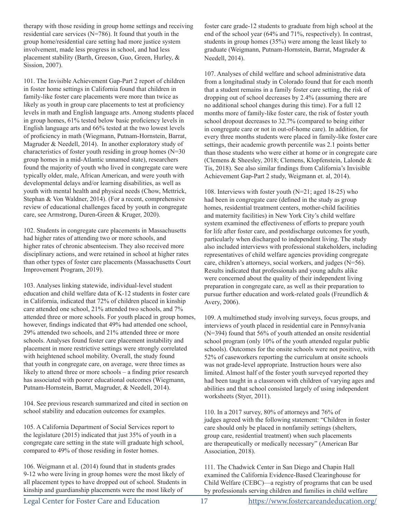therapy with those residing in group home settings and receiving residential care services (N=786). It found that youth in the group home/residential care setting had more justice system involvement, made less progress in school, and had less placement stability (Barth, Greeson, Guo, Green, Hurley, & Sission, 2007).

101. The Invisible Achievement Gap-Part 2 report of children in foster home settings in California found that children in family-like foster care placements were more than twice as likely as youth in group care placements to test at proficiency levels in math and English language arts. Among students placed in group homes, 61% tested below basic proficiency levels in English language arts and 66% tested at the two lowest levels of proficiency in math (Wiegmann, Putnam-Hornstein, Barrat, Magruder & Needell, 2014). In another exploratory study of characteristics of foster youth residing in group homes (N=30 group homes in a mid-Atlantic unnamed state), researchers found the majority of youth who lived in congregate care were typically older, male, African American, and were youth with developmental delays and/or learning disabilities, as well as youth with mental health and physical needs (Chow, Mettrick, Stephan & Von Waldner, 2014). (For a recent, comprehensive review of educational challenges faced by youth in congregate care, see Armstrong, Duren-Green & Kruger, 2020).

102. Students in congregate care placements in Massachusetts had higher rates of attending two or more schools, and higher rates of chronic absenteeism. They also received more disciplinary actions, and were retained in school at higher rates than other types of foster care placements (Massachusetts Court Improvement Program, 2019).

103. Analyses linking statewide, individual-level student education and child welfare data of K-12 students in foster care in California, indicated that 72% of children placed in kinship care attended one school, 21% attended two schools, and 7% attended three or more schools. For youth placed in group homes, however, findings indicated that 49% had attended one school, 29% attended two schools, and 21% attended three or more schools. Analyses found foster care placement instability and placement in more restrictive settings were strongly correlated with heightened school mobility. Overall, the study found that youth in congregate care, on average, were three times as likely to attend three or more schools – a finding prior research has associated with poorer educational outcomes (Wiegmann, Putnam-Hornstein, Barrat, Magruder, & Needell, 2014).

104. See previous research summarized and cited in section on school stability and education outcomes for examples.

105. A California Department of Social Services report to the legislature (2015) indicated that just 35% of youth in a congregate care setting in the state will graduate high school, compared to 49% of those residing in foster homes.

106. Weigmann et al. (2014) found that in students grades 9-12 who were living in group homes were the most likely of all placement types to have dropped out of school. Students in kinship and guardianship placements were the most likely of

foster care grade-12 students to graduate from high school at the end of the school year (64% and 71%, respectively). In contrast, students in group homes (35%) were among the least likely to graduate (Weigmann, Putnam-Hornstein, Barrat, Magruder & Needell, 2014).

107. Analyses of child welfare and school administrative data from a longitudinal study in Colorado found that for each month that a student remains in a family foster care setting, the risk of dropping out of school decreases by 2.4% (assuming there are no additional school changes during this time). For a full 12 months more of family-like foster care, the risk of foster youth school dropout decreases to 32.7% (compared to being either in congregate care or not in out-of-home care). In addition, for every three months students were placed in family-like foster care settings, their academic growth percentile was 2.1 points better than those students who were either at home or in congregate care (Clemens & Sheesley, 2018; Clemens, Klopfenstein, Lalonde & Tis, 2018). See also similar findings from California's Invisible Achievement Gap-Part 2 study, Weigmann et. al, 2014).

108. Interviews with foster youth (N=21; aged 18-25) who had been in congregate care (defined in the study as group homes, residential treatment centers, mother-child facilities and maternity facilities) in New York City's child welfare system examined the effectiveness of efforts to prepare youth for life after foster care, and postdischarge outcomes for youth, particularly when discharged to independent living. The study also included interviews with professional stakeholders, including representatives of child welfare agencies providing congregate care, children's attorneys, social workers, and judges (N=56). Results indicated that professionals and young adults alike were concerned about the quality of their independent living preparation in congregate care, as well as their preparation to pursue further education and work-related goals (Freundlich & Avery, 2006).

109. A multimethod study involving surveys, focus groups, and interviews of youth placed in residential care in Pennsylvania (N=394) found that 56% of youth attended an onsite residential school program (only 10% of the youth attended regular public schools). Outcomes for the onsite schools were not positive, with 52% of caseworkers reporting the curriculum at onsite schools was not grade-level appropriate. Instruction hours were also limited. Almost half of the foster youth surveyed reported they had been taught in a classroom with children of varying ages and abilities and that school consisted largely of using independent worksheets (Styer, 2011).

110. In a 2017 survey, 80% of attorneys and 76% of judges agreed with the following statement: "Children in foster care should only be placed in nonfamily settings (shelters, group care, residential treatment) when such placements are therapeutically or medically necessary" (American Bar Association, 2018).

111. The Chadwick Center in San Diego and Chapin Hall examined the California Evidence-Based Clearinghouse for Child Welfare (CEBC)—a registry of programs that can be used by professionals serving children and families in child welfare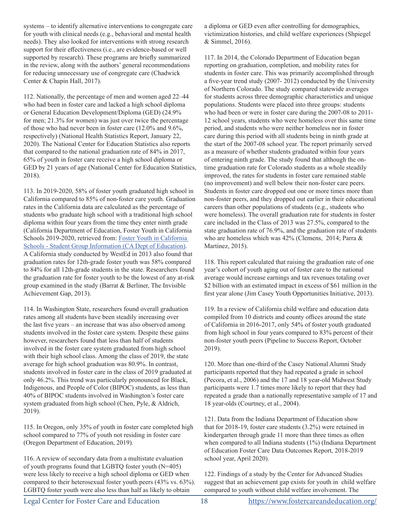systems – to identify alternative interventions to congregate care for youth with clinical needs (e.g., behavioral and mental health needs). They also looked for interventions with strong research support for their effectiveness (i.e., are evidence-based or well supported by research). These programs are briefly summarized in the review, along with the authors' general recommendations for reducing unnecessary use of congregate care (Chadwick Center & Chapin Hall, 2017).

112. Nationally, the percentage of men and women aged 22–44 who had been in foster care and lacked a high school diploma or General Education Development/Diploma (GED) (24.9% for men; 21.3% for women) was just over twice the percentage of those who had never been in foster care (12.0% and 9.6%, respectively) (National Health Statistics Report, January 22, 2020). The National Center for Education Statistics also reports that compared to the national graduation rate of 84% in 2017, 65% of youth in foster care receive a high school diploma or GED by 21 years of age (National Center for Education Statistics, 2018).

113. In 2019-2020, 58% of foster youth graduated high school in California compared to 85% of non-foster care youth. Graduation rates in the California data are calculated as the percentage of students who graduate high school with a traditional high school diploma within four years from the time they enter ninth grade (California Department of Education, Foster Youth in California Schools 2019-2020, retrieved from: Foster Youth in California Schools - Student Group Information (CA Dept of Education). A California study conducted by WestEd in 2013 also found that graduation rates for 12th-grade foster youth was 58% compared to 84% for all 12th-grade students in the state. Researchers found the graduation rate for foster youth to be the lowest of any at-risk group examined in the study (Barrat & Berliner, The Invisible Achievement Gap, 2013).

114. In Washington State, researchers found overall graduation rates among all students have been steadily increasing over the last five years – an increase that was also observed among students involved in the foster care system. Despite these gains however, researchers found that less than half of students involved in the foster care system graduated from high school with their high school class. Among the class of 2019, the state average for high school graduation was 80.9%. In contrast, students involved in foster care in the class of 2019 graduated at only 46.2%. This trend was particularly pronounced for Black, Indigenous, and People of Color (BIPOC) students, as less than 40% of BIPOC students involved in Washington's foster care system graduated from high school (Chen, Pyle, & Aldrich, 2019).

115. In Oregon, only 35% of youth in foster care completed high school compared to 77% of youth not residing in foster care (Oregon Department of Education, 2019).

116. A review of secondary data from a multistate evaluation of youth programs found that LGBTQ foster youth (N=405) were less likely to receive a high school diploma or GED when compared to their heterosexual foster youth peers (43% vs. 63%). LGBTQ foster youth were also less than half as likely to obtain

a diploma or GED even after controlling for demographics, victimization histories, and child welfare experiences (Shpiegel & Simmel, 2016).

117. In 2014, the Colorado Department of Education began reporting on graduation, completion, and mobility rates for students in foster care. This was primarily accomplished through a five-year trend study (2007- 2012) conducted by the University of Northern Colorado. The study compared statewide averages for students across three demographic characteristics and unique populations. Students were placed into three groups: students who had been or were in foster care during the 2007-08 to 2011- 12 school years, students who were homeless over this same time period, and students who were neither homeless nor in foster care during this period with all students being in ninth grade at the start of the 2007-08 school year. The report primarily served as a measure of whether students graduated within four years of entering ninth grade. The study found that although the ontime graduation rate for Colorado students as a whole steadily improved, the rates for students in foster care remained stable (no improvement) and well below their non-foster care peers. Students in foster care dropped out one or more times more than non-foster peers, and they dropped out earlier in their educational careers than other populations of students (e.g., students who were homeless). The overall graduation rate for students in foster care included in the Class of 2013 was 27.5%, compared to the state graduation rate of 76.9%, and the graduation rate of students who are homeless which was 42% (Clemens, 2014; Parra & Martinez, 2015).

118. This report calculated that raising the graduation rate of one year's cohort of youth aging out of foster care to the national average would increase earnings and tax revenues totaling over \$2 billion with an estimated impact in excess of \$61 million in the first year alone (Jim Casey Youth Opportunities Initiative, 2013).

119. In a review of California child welfare and education data compiled from 10 districts and county offices around the state of California in 2016-2017, only 54% of foster youth graduated from high school in four years compared to 83% percent of their non-foster youth peers (Pipeline to Success Report, October 2019).

120. More than one-third of the Casey National Alumni Study participants reported that they had repeated a grade in school (Pecora, et al., 2006) and the 17 and 18 year-old Midwest Study participants were 1.7 times more likely to report that they had repeated a grade than a nationally representative sample of 17 and 18 year-olds (Courtney, et al., 2004).

121. Data from the Indiana Department of Education show that for 2018-19, foster care students (3.2%) were retained in kindergarten through grade 11 more than three times as often when compared to all Indiana students (1%) (Indiana Department of Education Foster Care Data Outcomes Report, 2018-2019 school year, April 2020).

122. Findings of a study by the Center for Advanced Studies suggest that an achievement gap exists for youth in child welfare compared to youth without child welfare involvement. The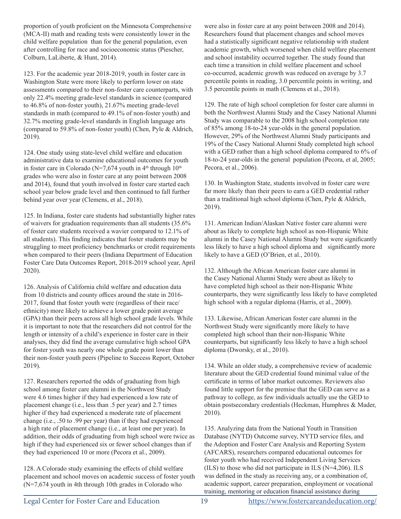proportion of youth proficient on the Minnesota Comprehensive (MCA-II) math and reading tests were consistently lower in the child welfare population than for the general population, even after controlling for race and socioeconomic status (Piescher, Colburn, LaLiberte, & Hunt, 2014).

123. For the academic year 2018-2019, youth in foster care in Washington State were more likely to perform lower on state assessments compared to their non-foster care counterparts, with only 22.4% meeting grade-level standards in science (compared to 46.8% of non-foster youth), 21.67% meeting grade-level standards in math (compared to 49.1% of non-foster youth) and 32.7% meeting grade-level standards in English language arts (compared to 59.8% of non-foster youth) (Chen, Pyle & Aldrich, 2019).

124. One study using state-level child welfare and education administrative data to examine educational outcomes for youth in foster care in Colorado (N=7,674 youth in  $4<sup>th</sup>$  through  $10<sup>th</sup>$ grades who were also in foster care at any point between 2008 and 2014), found that youth involved in foster care started each school year below grade level and then continued to fall further behind year over year (Clemens, et al., 2018).

125. In Indiana, foster care students had substantially higher rates of waivers for graduation requirements than all students (35.6% of foster care students received a wavier compared to 12.1% of all students). This finding indicates that foster students may be struggling to meet proficiency benchmarks or credit requirements when compared to their peers (Indiana Department of Education Foster Care Data Outcomes Report, 2018-2019 school year, April 2020).

126. Analysis of California child welfare and education data from 10 districts and county offices around the state in 2016- 2017, found that foster youth were (regardless of their race/ ethnicity) more likely to achieve a lower grade point average (GPA) than their peers across all high school grade levels. While it is important to note that the researchers did not control for the length or intensity of a child's experience in foster care in their analyses, they did find the average cumulative high school GPA for foster youth was nearly one whole grade point lower than their non-foster youth peers (Pipeline to Success Report, October 2019).

127. Researchers reported the odds of graduating from high school among foster care alumni in the Northwest Study were 4.6 times higher if they had experienced a low rate of placement change (i.e., less than .5 per year) and 2.7 times higher if they had experienced a moderate rate of placement change (i.e., .50 to .99 per year) than if they had experienced a high rate of placement change (i.e., at least one per year). In addition, their odds of graduating from high school were twice as high if they had experienced six or fewer school changes than if they had experienced 10 or more (Pecora et al., 2009).

128. A Colorado study examining the effects of child welfare placement and school moves on academic success of foster youth (N=7,674 youth in 4th through 10th grades in Colorado who

were also in foster care at any point between 2008 and 2014). Researchers found that placement changes and school moves had a statistically significant negative relationship with student academic growth, which worsened when child welfare placement and school instability occurred together. The study found that each time a transition in child welfare placement and school co-occurred, academic growth was reduced on average by 3.7 percentile points in reading, 3.0 percentile points in writing, and 3.5 percentile points in math (Clemens et al., 2018).

129. The rate of high school completion for foster care alumni in both the Northwest Alumni Study and the Casey National Alumni Study was comparable to the 2008 high school completion rate of 85% among 18-to-24 year-olds in the general population. However, 29% of the Northwest Alumni Study participants and 19% of the Casey National Alumni Study completed high school with a GED rather than a high school diploma compared to 6% of 18-to-24 year-olds in the general population (Pecora, et al, 2005; Pecora, et al., 2006).

130. In Washington State, students involved in foster care were far more likely than their peers to earn a GED credential rather than a traditional high school diploma (Chen, Pyle & Aldrich, 2019).

131. American Indian/Alaskan Native foster care alumni were about as likely to complete high school as non-Hispanic White alumni in the Casey National Alumni Study but were significantly less likely to have a high school diploma and significantly more likely to have a GED (O'Brien, et al., 2010).

132. Although the African American foster care alumni in the Casey National Alumni Study were about as likely to have completed high school as their non-Hispanic White counterparts, they were significantly less likely to have completed high school with a regular diploma (Harris, et al., 2009).

133. Likewise, African American foster care alumni in the Northwest Study were significantly more likely to have completed high school than their non-Hispanic White counterparts, but significantly less likely to have a high school diploma (Dworsky, et al., 2010).

134. While an older study, a comprehensive review of academic literature about the GED credential found minimal value of the certificate in terms of labor market outcomes. Reviewers also found little support for the premise that the GED can serve as a pathway to college, as few individuals actually use the GED to obtain postsecondary credentials (Heckman, Humphres & Mader, 2010).

135. Analyzing data from the National Youth in Transition Database (NYTD) Outcome survey, NYTD service files, and the Adoption and Foster Care Analysis and Reporting System (AFCARS), researchers compared educational outcomes for foster youth who had received Independent Living Services (ILS) to those who did not participate in ILS (N=4,206). ILS was defined in the study as receiving any, or a combination of, academic support, career preparation, employment or vocational training, mentoring or education financial assistance during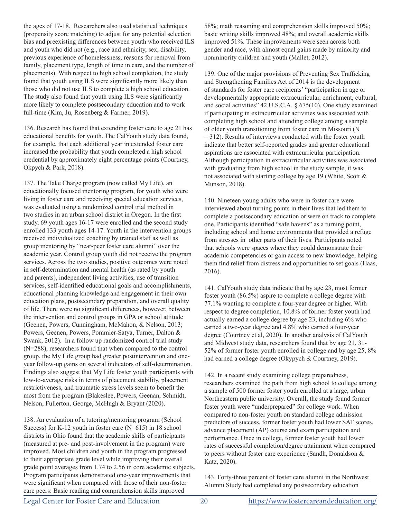the ages of 17-18. Researchers also used statistical techniques (propensity score matching) to adjust for any potential selection bias and preexisting differences between youth who received ILS and youth who did not (e.g., race and ethnicity, sex, disability, previous experience of homelessness, reasons for removal from family, placement type, length of time in care, and the number of placements). With respect to high school completion, the study found that youth using ILS were significantly more likely than those who did not use ILS to complete a high school education. The study also found that youth using ILS were significantly more likely to complete postsecondary education and to work full-time (Kim, Ju, Rosenberg & Farmer, 2019).

136. Research has found that extending foster care to age 21 has educational benefits for youth. The CalYouth study data found, for example, that each additional year in extended foster care increased the probability that youth completed a high school credential by approximately eight percentage points (Courtney, Okpych & Park, 2018).

137. The Take Charge program (now called My Life), an educationally focused mentoring program, for youth who were living in foster care and receiving special education services, was evaluated using a randomized control trial method in two studies in an urban school district in Oregon. In the first study, 69 youth ages 16-17 were enrolled and the second study enrolled 133 youth ages 14-17. Youth in the intervention groups received individualized coaching by trained staff as well as group mentoring by "near-peer foster care alumni" over the academic year. Control group youth did not receive the program services. Across the two studies, positive outcomes were noted in self-determination and mental health (as rated by youth and parents), independent living activities, use of transition services, self-identified educational goals and accomplishments, educational planning knowledge and engagement in their own education plans, postsecondary preparation, and overall quality of life. There were no significant differences, however, between the intervention and control groups in GPA or school attitude (Geenen, Powers, Cunningham, McMahon, & Nelson, 2013; Powers, Geenen, Powers, Pommier-Satya, Turner, Dalton & Swank, 2012). In a follow up randomized control trial study (N=288), researchers found that when compared to the control group, the My Life group had greater postintervention and oneyear follow-up gains on several indicators of self-determination. Findings also suggest that My Life foster youth participants with low-to-average risks in terms of placement stability, placement restrictiveness, and traumatic stress levels seem to benefit the most from the program (Blakeslee, Powers, Geenan, Schmidt, Nelson, Fullerton, George, McHugh & Bryant (2020).

138. An evaluation of a tutoring/mentoring program (School Success) for K-12 youth in foster care (N=615) in 18 school districts in Ohio found that the academic skills of participants (measured at pre- and post-involvement in the program) were improved. Most children and youth in the program progressed to their appropriate grade level while improving their overall grade point averages from 1.74 to 2.56 in core academic subjects. Program participants demonstrated one-year improvements that were significant when compared with those of their non-foster care peers: Basic reading and comprehension skills improved

58%; math reasoning and comprehension skills improved 50%; basic writing skills improved 48%; and overall academic skills improved 51%. These improvements were seen across both gender and race, with almost equal gains made by minority and nonminority children and youth (Mallet, 2012).

139. One of the major provisions of Preventing Sex Trafficking and Strengthening Families Act of 2014 is the development of standards for foster care recipients' "participation in age or developmentally appropriate extracurricular, enrichment, cultural, and social activities" 42 U.S.C.A. § 675(10). One study examined if participating in extracurricular activities was associated with completing high school and attending college among a sample of older youth transitioning from foster care in Missouri (N = 312). Results of interviews conducted with the foster youth indicate that better self-reported grades and greater educational aspirations are associated with extracurricular participation. Although participation in extracurricular activities was associated with graduating from high school in the study sample, it was not associated with starting college by age 19 (White, Scott & Munson, 2018).

140. Nineteen young adults who were in foster care were interviewed about turning points in their lives that led them to complete a postsecondary education or were on track to complete one. Participants identified "safe havens" as a turning point, including school and home environments that provided a refuge from stresses in other parts of their lives. Participants noted that schools were spaces where they could demonstrate their academic competencies or gain access to new knowledge, helping them find relief from distress and opportunities to set goals (Haas, 2016).

141. CalYouth study data indicate that by age 23, most former foster youth (86.5%) aspire to complete a college degree with 77.1% wanting to complete a four-year degree or higher. With respect to degree completion, 10.8% of former foster youth had actually earned a college degree by age 23, including 6% who earned a two-year degree and 4.8% who earned a four-year degree (Courtney et al, 2020). In another analysis of CalYouth and Midwest study data, researchers found that by age 21, 31- 52% of former foster youth enrolled in college and by age 25, 8% had earned a college degree (Okypych & Courtney, 2019).

142. In a recent study examining college preparedness, researchers examined the path from high school to college among a sample of 500 former foster youth enrolled at a large, urban Northeastern public university. Overall, the study found former foster youth were "underprepared" for college work. When compared to non-foster youth on standard college admission predictors of success, former foster youth had lower SAT scores, advance placement (AP) course and exam participation and performance. Once in college, former foster youth had lower rates of successful completion/degree attainment when compared to peers without foster care experience (Sandh, Donaldson & Katz, 2020).

143. Forty-three percent of foster care alumni in the Northwest Alumni Study had completed any postsecondary education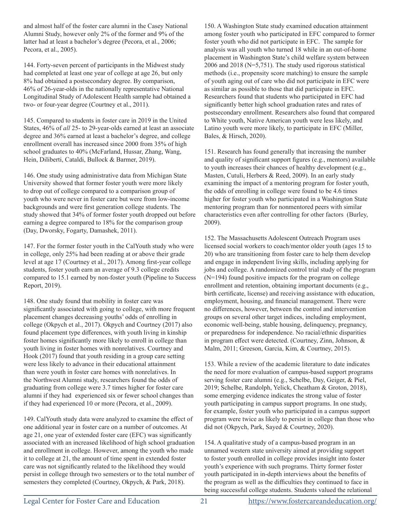and almost half of the foster care alumni in the Casey National Alumni Study, however only 2% of the former and 9% of the latter had at least a bachelor's degree (Pecora, et al., 2006; Pecora, et al., 2005).

144. Forty-seven percent of participants in the Midwest study had completed at least one year of college at age 26, but only 8% had obtained a postsecondary degree. By comparison, 46% of 26-year-olds in the nationally representative National Longitudinal Study of Adolescent Health sample had obtained a two- or four-year degree (Courtney et al., 2011).

145. Compared to students in foster care in 2019 in the United States, 46% of *all* 25‐ to 29‐year‐olds earned at least an associate degree and 36% earned at least a bachelor's degree, and college enrollment overall has increased since 2000 from 35% of high school graduates to 40% (McFarland, Hussar, Zhang, Wang, Hein, Diliberti, Cataldi, Bullock & Barmer, 2019).

146. One study using administrative data from Michigan State University showed that former foster youth were more likely to drop out of college compared to a comparison group of youth who were never in foster care but were from low-income backgrounds and were first generation college students. The study showed that 34% of former foster youth dropped out before earning a degree compared to 18% for the comparison group (Day, Dworsky, Fogarty, Damashek, 2011).

147. For the former foster youth in the CalYouth study who were in college, only 25% had been reading at or above their grade level at age 17 (Courtney et al., 2017). Among first-year college students, foster youth earn an average of 9.3 college credits compared to 15.1 earned by non-foster youth (Pipeline to Success Report, 2019).

148. One study found that mobility in foster care was significantly associated with going to college, with more frequent placement changes decreasing youths' odds of enrolling in college (Okpych et al., 2017). Okpych and Courtney (2017) also found placement type differences, with youth living in kinship foster homes significantly more likely to enroll in college than youth living in foster homes with nonrelatives. Courtney and Hook (2017) found that youth residing in a group care setting were less likely to advance in their educational attainment than were youth in foster care homes with nonrelatives. In the Northwest Alumni study, researchers found the odds of graduating from college were 3.7 times higher for foster care alumni if they had experienced six or fewer school changes than if they had experienced 10 or more (Pecora, et al., 2009).

149. CalYouth study data were analyzed to examine the effect of one additional year in foster care on a number of outcomes. At age 21, one year of extended foster care (EFC) was significantly associated with an increased likelihood of high school graduation and enrollment in college. However, among the youth who made it to college at 21, the amount of time spent in extended foster care was not significantly related to the likelihood they would persist in college through two semesters or to the total number of semesters they completed (Courtney, Okpych, & Park, 2018).

150. A Washington State study examined education attainment among foster youth who participated in EFC compared to former foster youth who did not participate in EFC. The sample for analysis was all youth who turned 18 while in an out-of-home placement in Washington State's child welfare system between 2006 and 2018 (N=5,751). The study used rigorous statistical methods (i.e., propensity score matching) to ensure the sample of youth aging out of care who did not participate in EFC were as similar as possible to those that did participate in EFC. Researchers found that students who participated in EFC had significantly better high school graduation rates and rates of postsecondary enrollment. Researchers also found that compared to White youth, Native American youth were less likely, and Latino youth were more likely, to participate in EFC (Miller, Bales, & Hirsch, 2020).

151. Research has found generally that increasing the number and quality of significant support figures (e.g., mentors) available to youth increases their chances of healthy development (e.g., Masten, Cutuli, Herbers & Reed, 2009). In an early study examining the impact of a mentoring program for foster youth, the odds of enrolling in college were found to be 4.6 times higher for foster youth who participated in a Washington State mentoring program than for nonmentored peers with similar characteristics even after controlling for other factors (Burley, 2009).

152. The Massachusetts Adolescent Outreach Program uses licensed social workers to coach/mentor older youth (ages 15 to 20) who are transitioning from foster care to help them develop and engage in independent living skills, including applying for jobs and college. A randomized control trial study of the program (N=194) found positive impacts for the program on college enrollment and retention, obtaining important documents (e.g., birth certificate, license) and receiving assistance with education, employment, housing, and financial management. There were no differences, however, between the control and intervention groups on several other target indices, including employment, economic well-being, stable housing, delinquency, pregnancy, or preparedness for independence. No racial/ethnic disparities in program effect were detected. (Courtney, Zinn, Johnson, & Malm, 2011; Greeson, Garcia, Kim, & Courtney, 2015).

153. While a review of the academic literature to date indicates the need for more evaluation of campus-based support programs serving foster care alumni (e.g., Schelbe, Day, Geiger, & Piel, 2019; Schelbe, Randolph, Yelick, Cheatham & Groton, 2018), some emerging evidence indicates the strong value of foster youth participating in campus support programs. In one study, for example, foster youth who participated in a campus support program were twice as likely to persist in college than those who did not (Okpych, Park, Sayed & Courtney, 2020).

154. A qualitative study of a campus-based program in an unnamed western state university aimed at providing support to foster youth enrolled in college provides insight into foster youth's experience with such programs. Thirty former foster youth participated in in-depth interviews about the benefits of the program as well as the difficulties they continued to face in being successful college students. Students valued the relational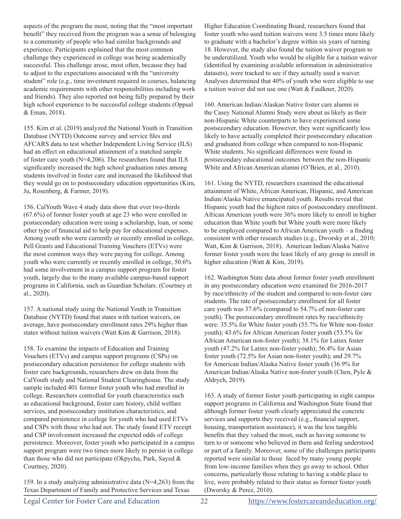aspects of the program the most, noting that the "most important benefit" they received from the program was a sense of belonging to a community of people who had similar backgrounds and experience. Participants explained that the most common challenge they experienced in college was being academically successful. This challenge arose, most often, because they had to adjust to the expectations associated with the "university student" role (e.g., time investment required in courses, balancing academic requirements with other responsibilities including work and friends). They also reported not being fully prepared by their high school experience to be successful college students (Oppsal & Eman, 2018).

155. Kim et al. (2019) analyzed the National Youth in Transition Database (NYTD) Outcome survey and service files and AFCARS data to test whether Independent Living Service (ILS) had an effect on educational attainment of a matched sample of foster care youth (N=4,206). The researchers found that ILS significantly increased the high school graduation rates among students involved in foster care and increased the likelihood that they would go on to postsecondary education opportunities (Kim, Ju, Rosenberg, & Farmer, 2019).

156. CalYouth Wave 4 study data show that over two-thirds (67.6%) of former foster youth at age 23 who were enrolled in postsecondary education were using a scholarship, loan, or some other type of financial aid to help pay for educational expenses. Among youth who were currently or recently enrolled in college, Pell Grants and Educational Training Vouchers (ETVs) were the most common ways they were paying for college. Among youth who were currently or recently enrolled in college, 50.6% had some involvement in a campus support program for foster youth, largely due to the many available campus-based support programs in California, such as Guardian Scholars. (Courtney et al., 2020).

157. A national study using the National Youth in Transition Database (NYTD) found that states with tuition waivers, on average, have postsecondary enrollment rates 29% higher than states without tuition waivers (Watt Kim & Garrison, 2018).

158. To examine the impacts of Education and Training Vouchers (ETVs) and campus support programs (CSPs) on postsecondary education persistence for college students with foster care backgrounds, researchers drew on data from the CalYouth study and National Student Clearinghouse. The study sample included 401 former foster youth who had enrolled in college. Researchers controlled for youth characteristics such as educational background, foster care history, child welfare services, and postsecondary institution characteristics, and compared persistence in college for youth who had used ETVs and CSPs with those who had not. The study found ETV receipt and CSP involvement increased the expected odds of college persistence. Moreover, foster youth who participated in a campus support program were two times more likely to persist in college than those who did not participate (Okpycha, Park, Sayed & Courtney, 2020).

159. In a study analyzing administrative data (N=4,263) from the Texas Department of Family and Protective Services and Texas

Higher Education Coordinating Board, researchers found that foster youth who used tuition waivers were 3.5 times more likely to graduate with a bachelor's degree within six years of turning 18. However, the study also found the tuition waiver program to be underutilized. Youth who would be eligible for a tuition waiver (identified by examining available information in administrative datasets), were tracked to see if they actually used a waiver. Analyses determined that 40% of youth who were eligible to use a tuition waiver did not use one (Watt & Faulkner, 2020).

160. American Indian/Alaskan Native foster care alumni in the Casey National Alumni Study were about as likely as their non-Hispanic White counterparts to have experienced some postsecondary education. However, they were significantly less likely to have actually completed their postsecondary education and graduated from college when compared to non-Hispanic White students. No significant differences were found in postsecondary educational outcomes between the non-Hispanic White and African American alumni (O'Brien, et al., 2010).

161. Using the NYTD, researchers examined the educational attainment of White, African American, Hispanic, and American Indian/Alaska Native emancipated youth. Results reveal that Hispanic youth had the highest rates of postsecondary enrollment. African American youth were 36% more likely to enroll in higher education than White youth but White youth were more likely to be employed compared to African American youth – a finding consistent with other research studies (e.g., Dworsky et al., 2010; Watt, Kim & Garrison, 2018). American Indian/Alaska Native former foster youth were the least likely of any group to enroll in higher education (Watt & Kim, 2019).

162. Washington State data about former foster youth enrollment in any postsecondary education were examined for 2016-2017 by race/ethnicity of the student and compared to non-foster care students. The rate of postsecondary enrollment for all foster care youth was 37.6% (compared to 54.7% of non-foster care youth). The postsecondary enrollment rates by race/ethnicity were: 35.5% for White foster youth (55.7% for White non-foster youth); 43.6% for African American foster youth (53.5% for African American non-foster youth); 38.1% for Latinx foster youth (47.2% for Latinx non-foster youth); 56.4% for Asian foster youth (72.5% for Asian non-foster youth); and 29.7% for American Indian/Alaska Native foster youth (36.9% for American Indian/Alaska Native non-foster youth (Chen, Pyle & Aldrych, 2019).

163. A study of former foster youth participating in eight campus support programs in California and Washington State found that although former foster youth clearly appreciated the concrete services and supports they received (e.g., financial support, housing, transportation assistance), it was the less tangible benefits that they valued the most, such as having someone to turn to or someone who believed in them and feeling understood or part of a family. Moreover, some of the challenges participants reported were similar to those faced by many young people from low-income families when they go away to school. Other concerns, particularly those relating to having a stable place to live, were probably related to their status as former foster youth (Dworsky & Perez, 2010).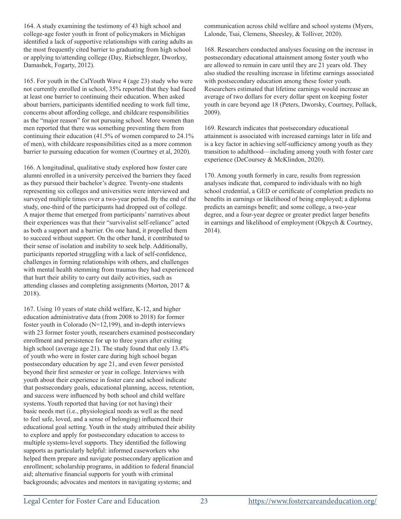164. A study examining the testimony of 43 high school and college-age foster youth in front of policymakers in Michigan identified a lack of supportive relationships with caring adults as the most frequently cited barrier to graduating from high school or applying to/attending college (Day, Riebschleger, Dworksy, Damashek, Fogarty, 2012).

165. For youth in the CalYouth Wave 4 (age 23) study who were not currently enrolled in school, 35% reported that they had faced at least one barrier to continuing their education. When asked about barriers, participants identified needing to work full time, concerns about affording college, and childcare responsibilities as the "major reason" for not pursuing school. More women than men reported that there was something preventing them from continuing their education (41.5% of women compared to 24.1% of men), with childcare responsibilities cited as a more common barrier to pursuing education for women (Courtney et al, 2020).

166. A longitudinal, qualitative study explored how foster care alumni enrolled in a university perceived the barriers they faced as they pursued their bachelor's degree. Twenty-one students representing six colleges and universities were interviewed and surveyed multiple times over a two-year period. By the end of the study, one-third of the participants had dropped out of college. A major theme that emerged from participants' narratives about their experiences was that their "survivalist self-reliance" acted as both a support and a barrier. On one hand, it propelled them to succeed without support. On the other hand, it contributed to their sense of isolation and inability to seek help. Additionally, participants reported struggling with a lack of self-confidence, challenges in forming relationships with others, and challenges with mental health stemming from traumas they had experienced that hurt their ability to carry out daily activities, such as attending classes and completing assignments (Morton, 2017 & 2018).

167. Using 10 years of state child welfare, K-12, and higher education administrative data (from 2008 to 2018) for former foster youth in Colorado (N=12,199), and in-depth interviews with 23 former foster youth, researchers examined postsecondary enrollment and persistence for up to three years after exiting high school (average age 21). The study found that only 13.4% of youth who were in foster care during high school began postsecondary education by age 21, and even fewer persisted beyond their first semester or year in college. Interviews with youth about their experience in foster care and school indicate that postsecondary goals, educational planning, access, retention, and success were influenced by both school and child welfare systems. Youth reported that having (or not having) their basic needs met (i.e., physiological needs as well as the need to feel safe, loved, and a sense of belonging) influenced their educational goal setting. Youth in the study attributed their ability to explore and apply for postsecondary education to access to multiple systems-level supports. They identified the following supports as particularly helpful: informed caseworkers who helped them prepare and navigate postsecondary application and enrollment; scholarship programs, in addition to federal financial aid; alternative financial supports for youth with criminal backgrounds; advocates and mentors in navigating systems; and

communication across child welfare and school systems (Myers, Lalonde, Tsai, Clemens, Sheesley, & Tolliver, 2020).

168. Researchers conducted analyses focusing on the increase in postsecondary educational attainment among foster youth who are allowed to remain in care until they are 21 years old. They also studied the resulting increase in lifetime earnings associated with postsecondary education among these foster youth. Researchers estimated that lifetime earnings would increase an average of two dollars for every dollar spent on keeping foster youth in care beyond age 18 (Peters, Dworsky, Courtney, Pollack, 2009).

169. Research indicates that postsecondary educational attainment is associated with increased earnings later in life and is a key factor in achieving self-sufficiency among youth as they transition to adulthood—including among youth with foster care experience (DeCoursey & McKlindon, 2020).

170. Among youth formerly in care, results from regression analyses indicate that, compared to individuals with no high school credential, a GED or certificate of completion predicts no benefits in earnings or likelihood of being employed; a diploma predicts an earnings benefit; and some college, a two-year degree, and a four-year degree or greater predict larger benefits in earnings and likelihood of employment (Okpych & Courtney, 2014).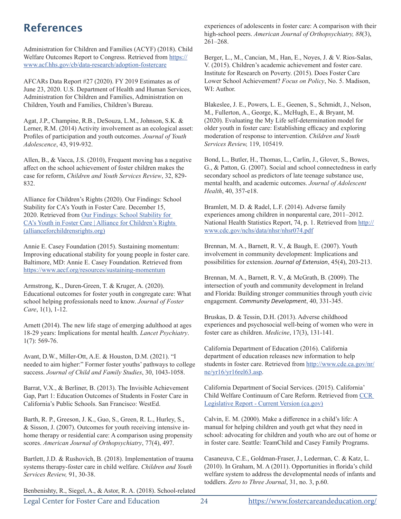# References

Administration for Children and Families (ACYF) (2018). Child Welfare Outcomes Report to Congress. Retrieved from https:// www.acf.hhs.gov/cb/data-research/adoption-fostercare

AFCARs Data Report #27 (2020). FY 2019 Estimates as of June 23, 2020. U.S. Department of Health and Human Services, Administration for Children and Families, Administration on Children, Youth and Families, Children's Bureau.

Agat, J.P., Champine, R.B., DeSouza, L.M., Johnson, S.K. & Lerner, R.M. (2014) Activity involvement as an ecological asset: Profiles of participation and youth outcomes. *Journal of Youth Adolescence*, 43, 919-932.

Allen, B., & Vacca, J.S. (2010), Frequent moving has a negative affect on the school achievement of foster children makes the case for reform, *Children and Youth Services Review*, 32, 829- 832.

Alliance for Children's Rights (2020). Our Findings: School Stability for CA's Youth in Foster Care. December 15, 2020. Retrieved from Our Findings: School Stability for CA's Youth in Foster Care | Alliance for Children's Rights (allianceforchildrensrights.org)

Annie E. Casey Foundation (2015). Sustaining momentum: Improving educational stability for young people in foster care. Baltimore, MD: Annie E. Casey Foundation. Retrieved from https://www.aecf.org/resources/sustaining-momentum

Armstrong, K., Duren-Green, T. & Kruger, A. (2020). Educational outcomes for foster youth in congregate care: What school helping professionals need to know. *Journal of Foster Care*, 1(1), 1-12.

Arnett (2014). The new life stage of emerging adulthood at ages 18-29 years: Implications for mental health. *Lancet Psychiatry*. 1(7): 569-76.

Avant, D.W., Miller-Ott, A.E. & Houston, D.M. (2021). "I needed to aim higher:" Former foster youths' pathways to college success. *Journal of Child and Family Studies*, 30, 1043-1058.

Barrat, V.X., & Berliner, B. (2013). The Invisible Achievement Gap, Part 1: Education Outcomes of Students in Foster Care in California's Public Schools. San Francisco: WestEd.

Barth, R. P., Greeson, J. K., Guo, S., Green, R. L., Hurley, S., & Sisson, J. (2007). Outcomes for youth receiving intensive inhome therapy or residential care: A comparison using propensity scores. *American Journal of Orthopsychiatry*, 77(4), 497.

Bartlett, J.D. & Rushovich, B. (2018). Implementation of trauma systems therapy-foster care in child welfare. *Children and Youth Services Review,* 91, 30-38.

Benbenishty, R., Siegel, A., & Astor, R. A. (2018). School-related

experiences of adolescents in foster care: A comparison with their high-school peers. *American Journal of Orthopsychiatry, 88*(3), 261–268.

Berger, L., M., Cancian, M., Han, E., Noyes, J. & V. Rios-Salas, V. (2015). Children's academic achievement and foster care. Institute for Research on Poverty. (2015). Does Foster Care Lower School Achievement? *Focus on Policy*, No. 5. Madison, WI: Author.

Blakeslee, J. E., Powers, L. E., Geenen, S., Schmidt, J., Nelson, M., Fullerton, A., George, K., McHugh, E., & Bryant, M. (2020). Evaluating the My Life self-determination model for older youth in foster care: Establishing efficacy and exploring moderation of response to intervention. *Children and Youth Services Review,* 119, 105419.

Bond, L., Butler, H., Thomas, L., Carlin, J., Glover, S., Bowes, G., & Patton, G. (2007). Social and school connectedness in early secondary school as predictors of late teenage substance use, mental health, and academic outcomes. *Journal of Adolescent Health*, 40, 357-e18.

Bramlett, M. D. & Radel, L.F. (2014). Adverse family experiences among children in nonparental care, 2011–2012. National Health Statistics Report, 74, p. 1. Retrieved from http:// www.cdc.gov/nchs/data/nhsr/nhsr074.pdf

Brennan, M. A., Barnett, R. V., & Baugh, E. (2007). Youth involvement in community development: Implications and possibilities for extension. *Journal of Extension*, 45(4), 203-213.

Brennan, M. A., Barnett, R. V., & McGrath, B. (2009). The intersection of youth and community development in Ireland and Florida: Building stronger communities through youth civic engagement. *Community Development*, 40, 331-345.

Bruskas, D. & Tessin, D.H. (2013). Adverse childhood experiences and psychosocial well-being of women who were in foster care as children. *Medicine*, 17(3), 131-141.

California Department of Education (2016). California department of education releases new information to help students in foster care. Retrieved from http://www.cde.ca.gov/nr/ ne/yr16/yr16rel63.asp.

California Department of Social Services. (2015). California' Child Welfare Continuum of Care Reform. Retrieved from CCR Legislative Report - Current Version (ca.gov)

Calvin, E. M. (2000). Make a difference in a child's life: A manual for helping children and youth get what they need in school: advocating for children and youth who are out of home or in foster care. Seattle: TeamChild and Casey Family Programs.

Casaneuva, C.E., Goldman-Fraser, J., Lederman, C. & Katz, L. (2010). In Graham, M. A (2011). Opportunities in florida's child welfare system to address the developmental needs of infants and toddlers. *Zero to Three Journal*, 31, no. 3, p.60.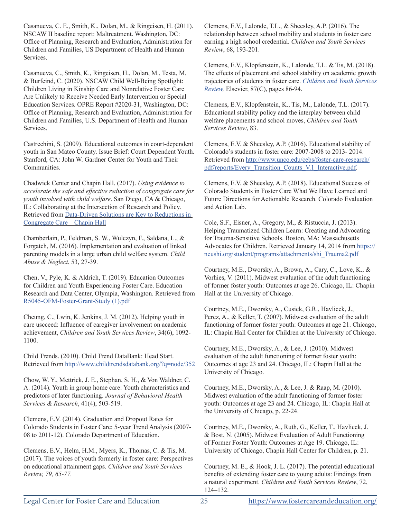Casanueva, C. E., Smith, K., Dolan, M., & Ringeisen, H. (2011). NSCAW II baseline report: Maltreatment. Washington, DC: Office of Planning, Research and Evaluation, Administration for Children and Families, US Department of Health and Human Services.

Casanueva, C., Smith, K., Ringeisen, H., Dolan, M., Testa, M. & Burfeind, C. (2020). NSCAW Child Well-Being Spotlight: Children Living in Kinship Care and Nonrelative Foster Care Are Unlikely to Receive Needed Early Intervention or Special Education Services. OPRE Report #2020-31, Washington, DC: Office of Planning, Research and Evaluation, Administration for Children and Families, U.S. Department of Health and Human Services.

Castrechini, S. (2009). Educational outcomes in court-dependent youth in San Mateo County. Issue Brief: Court Dependent Youth. Stanford, CA: John W. Gardner Center for Youth and Their Communities.

Chadwick Center and Chapin Hall. (2017). *Using evidence to accelerate the safe and effective reduction of congregate care for youth involved with child welfare*. San Diego, CA & Chicago, IL: Collaborating at the Intersection of Research and Policy. Retrieved from Data-Driven Solutions are Key to Reductions in Congregate Care—Chapin Hall

Chamberlain, P., Feldman, S. W., Wulczyn, F., Saldana, L., & Forgatch, M. (2016). Implementation and evaluation of linked parenting models in a large urban child welfare system. *Child Abuse & Neglect*, 53, 27-39.

Chen, V., Pyle, K. & Aldrich, T. (2019). Education Outcomes for Children and Youth Experiencing Foster Care. Education Research and Data Center, Olympia, Washington. Retrieved from R5045-OFM-Foster-Grant-Study (1).pdf

Cheung, C., Lwin, K. Jenkins, J. M. (2012). Helping youth in care uscceed: Influence of caregiver involvement on academic achievement, *Children and Youth Services Review*, 34(6), 1092- 1100.

Child Trends. (2010). Child Trend DataBank: Head Start. Retrieved from http://www.childtrendsdatabank.org/?q=node/352

Chow, W. Y., Mettrick, J. E., Stephan, S. H., & Von Waldner, C. A. (2014). Youth in group home care: Youth characteristics and predictors of later functioning. *Journal of Behavioral Health Services & Research*, 41(4), 503-519.

Clemens, E.V. (2014). Graduation and Dropout Rates for Colorado Students in Foster Care: 5-year Trend Analysis (2007- 08 to 2011-12). Colorado Department of Education.

Clemens, E.V., Helm, H.M., Myers, K., Thomas, C. & Tis, M. (2017). The voices of youth formerly in foster care: Perspectives on educational attainment gaps. *Children and Youth Services Review, 79, 65-77.*

Clemens, E.V., Lalonde, T.L., & Sheesley, A.P. (2016). The relationship between school mobility and students in foster care earning a high school credential. *Children and Youth Services Review*, 68, 193-201.

Clemens, E.V., Klopfenstein, K., Lalonde, T.L. & Tis, M. (2018). The effects of placement and school stability on academic growth trajectories of students in foster care. *Children and Youth Services Review,* Elsevier, 87(C), pages 86-94.

Clemens, E.V., Klopfenstein, K., Tis, M., Lalonde, T.L. (2017). Educational stability policy and the interplay between child welfare placements and school moves, *Children and Youth Services Review*, 83.

Clemens, E.V. & Sheesley, A.P. (2016). Educational stability of Colorado's students in foster care: 2007-2008 to 2013- 2014. Retrieved from http://www.unco.edu/cebs/foster-care-research/ pdf/reports/Every\_Transition\_Counts\_V.1\_Interactive.pdf.

Clemens, E.V. & Sheesley, A.P. (2018). Educational Success of Colorado Students in Foster Care What We Have Learned and Future Directions for Actionable Research. Colorado Evaluation and Action Lab.

Cole, S.F., Eisner, A., Gregory, M., & Ristuccia, J. (2013). Helping Traumatized Children Learn: Creating and Advocating for Trauma-Sensitive Schools. Boston, MA: Massachusetts Advocates for Children. Retrieved January 14, 2014 from https:// neushi.org/student/programs/attachments/shi\_Trauma2.pdf

Courtney, M.E., Dworsky, A., Brown, A., Cary, C., Love, K., & Vorhies, V. (2011). Midwest evaluation of the adult functioning of former foster youth: Outcomes at age 26. Chicago, IL: Chapin Hall at the University of Chicago.

Courtney, M.E., Dworsky, A., Cusick, G.R., Havlicek, J., Perez, A., & Keller, T. (2007). Midwest evaluation of the adult functioning of former foster youth: Outcomes at age 21. Chicago, IL: Chapin Hall Center for Children at the University of Chicago.

Courtney, M.E., Dworsky, A., & Lee, J. (2010). Midwest evaluation of the adult functioning of former foster youth: Outcomes at age 23 and 24. Chicago, IL: Chapin Hall at the University of Chicago.

Courtney, M.E., Dworsky, A., & Lee, J. & Raap, M. (2010). Midwest evaluation of the adult functioning of former foster youth: Outcomes at age 23 and 24. Chicago, IL: Chapin Hall at the University of Chicago, p. 22-24.

Courtney, M.E., Dworsky, A., Ruth, G., Keller, T., Havlicek, J. & Bost, N. (2005). Midwest Evaluation of Adult Functioning of Former Foster Youth: Outcomes at Age 19. Chicago, IL: University of Chicago, Chapin Hall Center for Children, p. 21.

Courtney, M. E., & Hook, J. L. (2017). The potential educational benefits of extending foster care to young adults: Findings from a natural experiment. *Children and Youth Services Review*, 72, 124–132.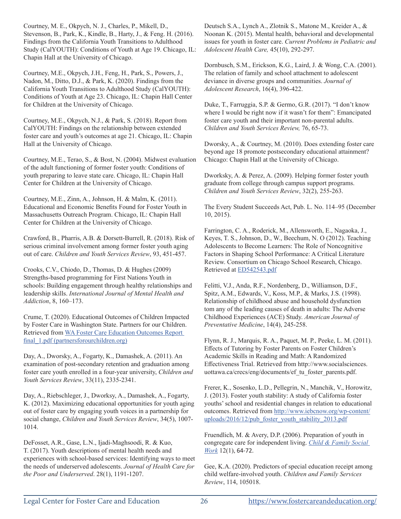Courtney, M. E., Okpych, N. J., Charles, P., Mikell, D., Stevenson, B., Park, K., Kindle, B., Harty, J., & Feng. H. (2016). Findings from the California Youth Transitions to Adulthood Study (CalYOUTH): Conditions of Youth at Age 19. Chicago, IL: Chapin Hall at the University of Chicago.

Courtney, M.E., Okpych, J.H., Feng, H., Park, S., Powers, J., Nadon, M., Ditto, D.J., & Park, K. (2020). Findings from the California Youth Transitions to Adulthood Study (CalYOUTH): Conditions of Youth at Age 23. Chicago, IL: Chapin Hall Center for Children at the University of Chicago.

Courtney, M.E., Okpych, N.J., & Park, S. (2018). Report from CalYOUTH: Findings on the relationship between extended foster care and youth's outcomes at age 21. Chicago, IL: Chapin Hall at the University of Chicago.

Courtney, M.E., Terao, S., & Bost, N. (2004). Midwest evaluation of the adult functioning of former foster youth: Conditions of youth preparing to leave state care. Chicago, IL: Chapin Hall Center for Children at the University of Chicago.

Courtney, M.E., Zinn, A., Johnson, H. & Malm, K. (2011). Educational and Economic Benefits Found for Foster Youth in Massachusetts Outreach Program. Chicago, IL: Chapin Hall Center for Children at the University of Chicago.

Crawford, B., Pharris, A.B. & Dorsett-Burrell, R. (2018). Risk of serious criminal involvement among former foster youth aging out of care. *Children and Youth Services Review*, 93, 451-457.

Crooks, C.V., Chiodo, D., Thomas, D. & Hughes (2009) Strengths-based programming for First Nations Youth in schools: Building engagement through healthy relationships and leadership skills. *International Journal of Mental Health and Addiction*, 8, 160–173.

Crume, T. (2020). Educational Outcomes of Children Impacted by Foster Care in Washington State. Partners for our Children. Retrieved from WA Foster Care Education Outcomes Report final 1.pdf (partnersforourchildren.org)

Day, A., Dworsky, A., Fogarty, K., Damashek, A. (2011). An examination of post-secondary retention and graduation among foster care youth enrolled in a four-year university, *Children and Youth Services Review*, 33(11), 2335-2341.

Day, A., Riebschleger, J., Dworksy, A., Damashek, A., Fogarty, K. (2012). Maximizing educational opportunities for youth aging out of foster care by engaging youth voices in a partnership for social change, *Children and Youth Services Review*, 34(5), 1007- 1014.

DeFosset, A.R., Gase, L.N., Ijadi-Maghsoodi, R. & Kuo, T. (2017). Youth descriptions of mental health needs and experiences with school-based services: Identifying ways to meet the needs of underserved adolescents. *Journal of Health Care for the Poor and Underserved*. 28(1), 1191-1207.

Deutsch S.A., Lynch A., Zlotnik S., Matone M., Kreider A., & Noonan K. (2015). Mental health, behavioral and developmental issues for youth in foster care. *Current Problems in Pediatric and Adolescent Health Care,* 45(10), 292-297.

Dornbusch, S.M., Erickson, K.G., Laird, J. & Wong, C.A. (2001). The relation of family and school attachment to adolescent deviance in diverse groups and communities. *Journal of Adolescent Research*, 16(4), 396-422.

Duke, T., Farruggia, S.P. & Germo, G.R. (2017). "I don't know where I would be right now if it wasn't for them": Emancipated foster care youth and their important non-parental adults. *Children and Youth Services Review,* 76, 65-73.

Dworsky, A., & Courtney, M. (2010). Does extending foster care beyond age 18 promote postsecondary educational attainment? Chicago: Chapin Hall at the University of Chicago.

Dworksky, A. & Perez, A. (2009). Helping former foster youth graduate from college through campus support programs. *Children and Youth Services Review*, 32(2), 255-263.

The Every Student Succeeds Act, Pub. L. No. 114–95 (December 10, 2015).

Farrington, C. A., Roderick, M., Allensworth, E., Nagaoka, J., Keyes, T. S., Johnson, D., W., Beechum, N. O (2012). Teaching Adolescents to Become Learners: The Role of Noncognitive Factors in Shaping School Performance: A Critical Literature Review. Consortium on Chicago School Research, Chicago. Retrieved at ED542543.pdf

Felitti, V.J., Anda, R.F., Nordenberg, D., Williamson, D.F., Spitz, A.M., Edwards, V., Koss, M.P., & Marks, J.S. (1998). Relationship of childhood abuse and household dysfunction tom any of the leading causes of death in adults: The Adverse Childhood Experiences (ACE) Study. *American Journal of Preventative Medicine*, 14(4), 245-258.

Flynn, R. J., Marquis, R. A., Paquet, M. P., Peeke, L. M. (2011). Effects of Tutoring by Foster Parents on Foster Children's Academic Skills in Reading and Math: A Randomized Effectiveness Trial. Retrieved from http://www.socialsciences. uottawa.ca/crecs/eng/documents/ef\_tu\_foster\_parents.pdf.

Frerer, K., Sosenko, L.D., Pellegrin, N., Manchik, V., Horowitz, J. (2013). Foster youth stability: A study of California foster youths' school and residential changes in relation to educational outcomes. Retrieved from http://www.iebcnow.org/wp-content/ uploads/2016/12/pub\_foster\_youth\_stability\_2013.pdf

Fruendlich, M. & Avery, D.P. (2006). Preparation of youth in congregate care for independent living. *Child & Family Social Work* 12(1), 64-72.

Gee, K.A. (2020). Predictors of special education receipt among child welfare-involved youth. *Children and Family Services Review*, 114, 105018.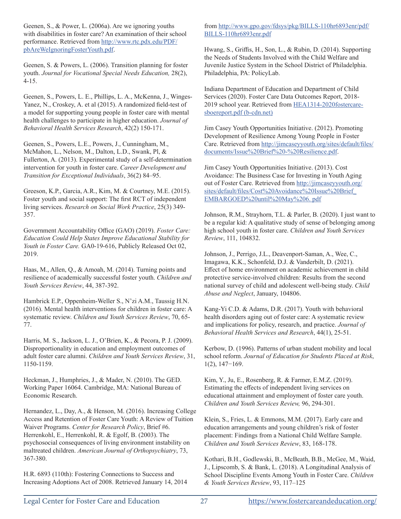Geenen, S., & Power, L. (2006a). Are we ignoring youths with disabilities in foster care? An examination of their school performance. Retrieved from http://www.rtc.pdx.edu/PDF/ pbAreWeIgnoringFosterYouth.pdf.

Geenen, S. & Powers, L. (2006). Transition planning for foster youth. *Journal for Vocational Special Needs Education,* 28(2), 4-15.

Geenen, S., Powers, L. E., Phillips, L. A., McKenna, J., Winges-Yanez, N., Croskey, A. et al (2015). A randomized field-test of a model for supporting young people in foster care with mental health challenges to participate in higher education. *Journal of Behavioral Health Services Research*, 42(2) 150-171.

Geenen, S., Powers, L.E., Powers, J., Cunningham, M., McMahon, L., Nelson, M., Dalton, L.D., Swank, Pl, & Fullerton, A. (2013). Experimental study of a self-determination intervention for youth in foster care. *Career Development and Transition for Exceptional Individuals*, 36(2) 84–95.

Greeson, K.P., Garcia, A.R., Kim, M. & Courtney, M.E. (2015). Foster youth and social support: The first RCT of independent living services. *Research on Social Work Practice*, 25(3) 349- 357.

Government Accountability Office (GAO) (2019). *Foster Care: Education Could Help States Improve Educational Stability for Youth in Foster Care.* GA0-19-616, Publicly Released Oct 02, 2019.

Haas, M., Allen, Q., & Amoah, M. (2014). Turning points and resilience of academically successful foster youth. *Children and Youth Services Review*, 44, 387-392.

Hambrick E.P., Oppenheim-Weller S., N'zi A.M., Taussig H.N. (2016). Mental health interventions for children in foster care: A systematic review. *Children and Youth Services Review*, 70, 65- 77.

Harris, M. S., Jackson, L. J., O'Brien, K., & Pecora, P. J. (2009). Disproportionality in education and employment outcomes of adult foster care alumni. *Children and Youth Services Review*, 31, 1150-1159.

Heckman, J., Humphries, J., & Mader, N. (2010). The GED. Working Paper 16064. Cambridge, MA: National Bureau of Economic Research.

Hernandez, L., Day, A., & Henson, M. (2016). Increasing College Access and Retention of Foster Care Youth: A Review of Tuition Waiver Programs. *Center for Research Policy*, Brief #6. Herrenkohl, E., Herrenkohl, R. & Egolf, B. (2003). The psychosocial consequences of living environment instability on maltreated children. *American Journal of Orthopsychiatry*, 73, 367-380.

H.R. 6893 (110th): Fostering Connections to Success and Increasing Adoptions Act of 2008. Retrieved January 14, 2014 from http://www.gpo.gov/fdsys/pkg/BILLS-110hr6893enr/pdf/ BILLS-110hr6893enr.pdf

Hwang, S., Griffis, H., Son, L., & Rubin, D. (2014). Supporting the Needs of Students Involved with the Child Welfare and Juvenile Justice System in the School District of Philadelphia. Philadelphia, PA: PolicyLab.

Indiana Department of Education and Department of Child Services (2020). Foster Care Data Outcomes Report, 2018- 2019 school year. Retrieved from HEA1314-2020fostercaresboereport.pdf (b-cdn.net)

Jim Casey Youth Opportunities Initiative. (2012). Promoting Development of Resilience Among Young People in Foster Care. Retrieved from http://jimcaseyyouth.org/sites/default/files/ documents/Issue%20Brief%20-%20Resilience.pdf.

Jim Casey Youth Opportunities Initiative. (2013). Cost Avoidance: The Business Case for Investing in Youth Aging out of Foster Care. Retrieved from http://jimcaseyyouth.org/ sites/default/files/Cost%20Avoidance%20Issue%20Brief\_ EMBARGOED%20until%20May%206. pdf

Johnson, R.M., Strayhorn, T.L. & Parler, B. (2020). I just want to be a regular kid: A qualitative study of sense of belonging among high school youth in foster care. *Children and Youth Services Review*, 111, 104832.

Johnson, J., Perrigo, J.L., Deavenport-Saman, A., Wee, C., Imagawa, K.K., Schonfeld, D.J. & Vanderbilt, D. (2021). Effect of home environment on academic achievement in child protective service-involved children: Results from the second national survey of child and adolescent well-being study. *Child Abuse and Neglect*, January, 104806.

Kang-Yi C.D. & Adams, D.R. (2017). Youth with behavioral health disorders aging out of foster care: A systematic review and implications for policy, research, and practice. *Journal of Behavioral Health Services and Research*, 44(1), 25-51.

Kerbow, D. (1996). Patterns of urban student mobility and local school reform. *Journal of Education for Students Placed at Risk*, 1(2), 147−169.

Kim, Y., Ju, E., Rosenberg, R. & Farmer, E.M.Z. (2019). Estimating the effects of independent living services on educational attainment and employment of foster care youth. *Children and Youth Services Review,* 96, 294-301.

Klein, S., Fries, L. & Emmons, M.M. (2017). Early care and education arrangements and young children's risk of foster placement: Findings from a National Child Welfare Sample. *Children and Youth Services Review*, 83, 168-178.

Kothari, B.H., Godlewski, B., McBeath, B.B., McGee, M., Waid, J., Lipscomb, S. & Bank, L. (2018). A Longitudinal Analysis of School Discipline Events Among Youth in Foster Care. *Children & Youth Services Review*, 93, 117–125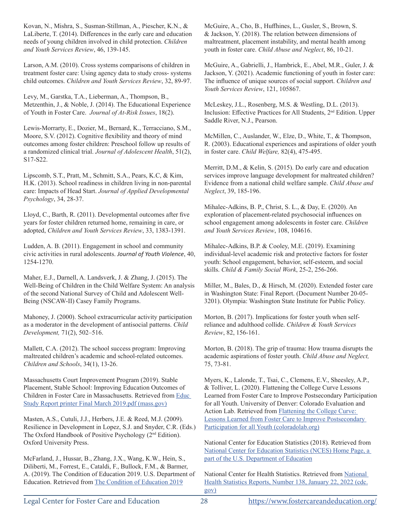Kovan, N., Mishra, S., Susman-Stillman, A., Piescher, K.N., & LaLiberte, T. (2014). Differences in the early care and education needs of young children involved in child protection. *Children and Youth Services Review*, 46, 139-145.

Larson, A.M. (2010). Cross systems comparisons of children in treatment foster care: Using agency data to study cross- systems child outcomes. *Children and Youth Services Review*, 32, 89-97.

Levy, M., Garstka, T.A., Lieberman, A., Thompson, B., Metzenthin, J., & Noble, J. (2014). The Educational Experience of Youth in Foster Care. *Journal of At-Risk Issues*, 18(2).

Lewis-Morrarty, E., Dozier, M., Bernard, K., Terracciano, S.M., Moore, S.V. (2012). Cognitive flexibility and theory of mind outcomes among foster children: Preschool follow up results of a randomized clinical trial. *Journal of Adolescent Health*, 51(2), S17-S22.

Lipscomb, S.T., Pratt, M., Schmitt, S.A., Pears, K.C, & Kim, H.K. (2013). School readiness in children living in non-parental care: Impacts of Head Start. *Journal of Applied Developmental Psychology*, 34, 28-37.

Lloyd, C., Barth, R. (2011). Developmental outcomes after five years for foster children returned home, remaining in care, or adopted, *Children and Youth Services Review*, 33, 1383-1391.

Ludden, A. B. (2011). Engagement in school and community civic activities in rural adolescents. *Journal of Youth Violence*, 40, 1254-1270.

Maher, E.J., Darnell, A. Landsverk, J. & Zhang, J. (2015). The Well-Being of Children in the Child Welfare System: An analysis of the second National Survey of Child and Adolescent Well-Being (NSCAW-II) Casey Family Programs.

Mahoney, J. (2000). School extracurricular activity participation as a moderator in the development of antisocial patterns. *Child Development,* 71(2), 502–516.

Mallett, C.A. (2012). The school success program: Improving maltreated children's academic and school-related outcomes. *Children and Schools*, 34(1), 13-26.

Massachusetts Court Improvement Program (2019). Stable Placement, Stable School: Improving Education Outcomes of Children in Foster Care in Massachusetts. Retrieved from Educ Study Report printer Final March 2019.pdf (mass.gov)

Masten, A.S., Cutuli, J.J., Herbers, J.E. & Reed, M.J. (2009). Resilience in Development in Lopez, S.J. and Snyder, C.R. (Eds.) The Oxford Handbook of Positive Psychology (2nd Edition). Oxford University Press.

McFarland, J., Hussar, B., Zhang, J.X., Wang, K.W., Hein, S., Diliberti, M., Forrest, E., Cataldi, F., Bullock, F.M., & Barmer, A. (2019). The Condition of Education 2019. U.S. Department of Education. Retrieved from The Condition of Education 2019

McGuire, A., Cho, B., Huffhines, L., Gusler, S., Brown, S. & Jackson, Y. (2018). The relation between dimensions of maltreatment, placement instability, and mental health among youth in foster care. *Child Abuse and Neglect*, 86, 10-21.

McGuire, A., Gabrielli, J., Hambrick, E., Abel, M.R., Guler, J. & Jackson, Y. (2021). Academic functioning of youth in foster care: The influence of unique sources of social support. *Children and Youth Services Review*, 121, 105867.

McLeskey, J.L., Rosenberg, M.S. & Westling, D.L. (2013). Inclusion: Effective Practices for All Students, 2nd Edition. Upper Saddle River, N.J., Pearson.

McMillen, C., Auslander, W., Elze, D., White, T., & Thompson, R. (2003). Educational experiences and aspirations of older youth in foster care. *Child Welfare,* 82(4), 475-495.

Merritt, D.M., & Kelin, S. (2015). Do early care and education services improve language development for maltreated children? Evidence from a national child welfare sample. *Child Abuse and Neglect*, 39, 185-196.

Mihalec-Adkins, B. P., Christ, S. L., & Day, E. (2020). An exploration of placement-related psychosocial influences on school engagement among adolescents in foster care. *Children and Youth Services Review*, 108, 104616.

Mihalec-Adkins, B.P. & Cooley, M.E. (2019). Examining individual-level academic risk and protective factors for foster youth: School engagement, behavior, self-esteem, and social skills. *Child & Family Social Work*, 25-2, 256-266.

Miller, M., Bales, D., & Hirsch, M. (2020). Extended foster care in Washington State: Final Report. (Document Number 20-05- 3201). Olympia: Washington State Institute for Public Policy.

Morton, B. (2017). Implications for foster youth when selfreliance and adulthood collide. *Children & Youth Services Review*, 82, 156-161.

Morton, B. (2018). The grip of trauma: How trauma disrupts the academic aspirations of foster youth. *Child Abuse and Neglect,*  75, 73-81.

Myers, K., Lalonde, T., Tsai, C., Clemens, E.V., Sheesley, A.P., & Tolliver, L. (2020). Flattening the College Curve Lessons Learned from Foster Care to Improve Postsecondary Participation for all Youth. University of Denver: Colorado Evaluation and Action Lab. Retrieved from Flattening the College Curve: Lessons Learned from Foster Care to Improve Postsecondary Participation for all Youth (coloradolab.org)

National Center for Education Statistics (2018). Retrieved from National Center for Education Statistics (NCES) Home Page, a part of the U.S. Department of Education

National Center for Health Statistics. Retrieved from National Health Statistics Reports, Number 138, January 22, 2022 (cdc. gov)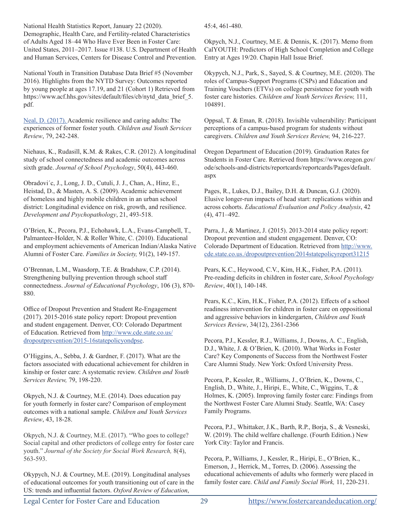National Health Statistics Report, January 22 (2020). Demographic, Health Care, and Fertility-related Characteristics of Adults Aged 18–44 Who Have Ever Been in Foster Care: United States, 2011–2017. Issue #138. U.S. Department of Health and Human Services, Centers for Disease Control and Prevention.

National Youth in Transition Database Data Brief #5 (November 2016). Highlights from the NYTD Survey: Outcomes reported by young people at ages 17.19, and 21 (Cohort 1) Retrieved from https://www.acf.hhs.gov/sites/default/files/cb/nytd\_data\_brief\_5. pdf.

Neal, D. (2017). Academic resilience and caring adults: The experiences of former foster youth. *Children and Youth Services Review*, 79, 242-248.

Niehaus, K., Rudasill, K.M. & Rakes, C.R. (2012). A longitudinal study of school connectedness and academic outcomes across sixth grade. *Journal of School Psychology*, 50(4), 443-460.

Obradovi´c, J., Long, J. D., Cutuli, J. J., Chan, A., Hinz, E., Heistad, D., & Masten, A. S. (2009). Academic achievement of homeless and highly mobile children in an urban school district: Longitudinal evidence on risk, growth, and resilience. *Development and Psychopathology*, 21, 493-518.

O'Brien, K., Pecora, P.J., Echohawk, L.A., Evans-Campbell, T., Palmanteer-Holder, N. & Roller White, C. (2010). Educational and employment achievements of American Indian/Alaska Native Alumni of Foster Care. *Families in Society,* 91(2), 149-157.

O'Brennan, L.M., Waasdorp, T.E. & Bradshaw, C.P. (2014). Strengthening bullying prevention through school staff connectedness. *Journal of Educational Psychology*, 106 (3), 870- 880.

Office of Dropout Prevention and Student Re-Engagement (2017). 2015-2016 state policy report: Dropout prevention and student engagement. Denver, CO: Colorado Department of Education. Retrieved from http://www.cde.state.co.us/ dropoutprevention/2015-16statepolicyondpse.

O'Higgins, A., Sebba, J. & Gardner, F. (2017). What are the factors associated with educational achievement for children in kinship or foster care: A systematic review. *Children and Youth Services Review,* 79, 198-220.

Okpych, N.J. & Courtney, M.E. (2014). Does education pay for youth formerly in foster care? Comparison of employment outcomes with a national sample. *Children and Youth Services Review*, 43, 18-28.

Okpych, N.J. & Courtney, M.E. (2017). "Who goes to college? Social capital and other predictors of college entry for foster care youth." *Journal of the Society for Social Work Research,* 8(4), 563-593.

Okypych, N.J. & Courtney, M.E. (2019). Longitudinal analyses of educational outcomes for youth transitioning out of care in the US: trends and influential factors. *Oxford Review of Education*,

45:4, 461-480.

Okpych, N.J., Courtney, M.E. & Dennis, K. (2017). Memo from CalYOUTH: Predictors of High School Completion and College Entry at Ages 19/20. Chapin Hall Issue Brief.

Okypych, N.J., Park, S., Sayed, S. & Courtney, M.E. (2020). The roles of Campus-Support Programs (CSPs) and Education and Training Vouchers (ETVs) on college persistence for youth with foster care histories. *Children and Youth Services Review,* 111, 104891.

Oppsal, T. & Eman, R. (2018). Invisible vulnerability: Participant perceptions of a campus-based program for students without caregivers. *Children and Youth Services Review,* 94, 216-227.

Oregon Department of Education (2019). Graduation Rates for Students in Foster Care. Retrieved from https://www.oregon.gov/ ode/schools-and-districts/reportcards/reportcards/Pages/default. aspx

Pages, R., Lukes, D.J., Bailey, D.H. & Duncan, G.J. (2020). Elusive longer-run impacts of head start: replications within and across cohorts. *Educational Evaluation and Policy Analysis*, 42 (4), 471–492.

Parra, J., & Martinez, J. (2015). 2013-2014 state policy report: Dropout prevention and student engagement. Denver, CO: Colorado Department of Education. Retrieved from http://www. cde.state.co.us./dropoutprevention/2014statepolicyreport31215

Pears, K.C., Heywood, C.V., Kim, H.K., Fisher, P.A. (2011). Pre-reading deficits in children in foster care, *School Psychology Review*, 40(1), 140-148.

Pears, K.C., Kim, H.K., Fisher, P.A. (2012). Effects of a school readiness intervention for children in foster care on oppositional and aggressive behaviors in kindergarten, *Children and Youth Services Review*, 34(12), 2361-2366

Pecora, P.J., Kessler, R.J., Williams, J., Downs, A. C., English, D.J., White, J. & O'Brien, K. (2010). What Works in Foster Care? Key Components of Success from the Northwest Foster Care Alumni Study. New York: Oxford University Press.

Pecora, P., Kessler, R., Williams, J., O'Brien, K., Downs, C., English, D., White, J., Hiripi, E., White, C., Wiggins, T., & Holmes, K. (2005). Improving family foster care: Findings from the Northwest Foster Care Alumni Study. Seattle, WA: Casey Family Programs.

Pecora, P.J., Whittaker, J.K., Barth, R.P., Borja, S., & Vesneski, W. (2019). The child welfare challenge. (Fourth Edition.) New York City: Taylor and Francis.

Pecora, P., Williams, J., Kessler, R., Hiripi, E., O'Brien, K., Emerson, J., Herrick, M., Torres, D. (2006). Assessing the educational achievements of adults who formerly were placed in family foster care. *Child and Family Social Work,* 11, 220-231.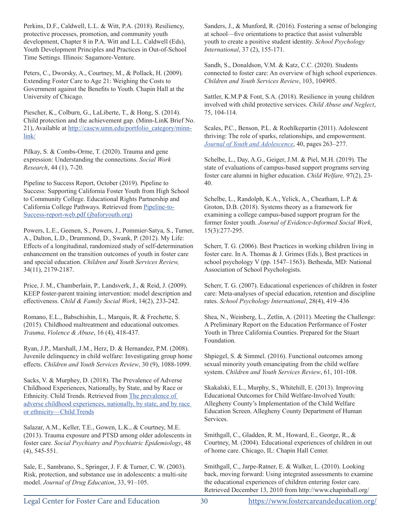Perkins, D.F., Caldwell, L.L. & Witt, P.A. (2018). Resiliency, protective processes, promotion, and community youth development, Chapter 8 in P.A. Witt and L.L. Caldwell (Eds), Youth Development Principles and Practices in Out-of-School Time Settings. Illinois: Sagamore-Venture.

Peters, C., Dworsky, A., Courtney, M., & Pollack, H. (2009). Extending Foster Care to Age 21: Weighing the Costs to Government against the Benefits to Youth. Chapin Hall at the University of Chicago.

Piescher, K., Colburn, G., LaLiberte, T., & Hong, S. (2014). Child protection and the achievement gap. (Minn-LinK Brief No. 21), Available at http://cascw.umn.edu/portfolio\_category/minnlink/

Pilkay, S. & Combs-Orme, T. (2020). Trauma and gene expression: Understanding the connections. *Social Work Research*, 44 (1), 7-20.

Pipeline to Success Report, October (2019). Pipeline to Success: Supporting California Foster Youth from High School to Community College. Educational Rights Partnership and California College Pathways. Retrieved from Pipeline-to-Success-report-web.pdf (jbaforyouth.org)

Powers, L.E., Geenen, S., Powers, J., Pommier-Satya, S., Turner, A., Dalton, L.D., Drummond, D., Swank, P. (2012). My Life: Effects of a longitudinal, randomized study of self-determination enhancement on the transition outcomes of youth in foster care and special education. *Children and Youth Services Review,* 34(11), 2179-2187.

Price, J. M., Chamberlain, P., Landsverk, J., & Reid, J. (2009). KEEP foster-parent training intervention: model description and effectiveness. C*hild & Family Social Work*, 14(2), 233-242.

Romano, E.L., Babschishin, L., Marquis, R. & Frechette, S. (2015). Childhood maltreatment and educational outcomes. *Trauma, Violence & Abuse*, 16 (4), 418-437.

Ryan, J.P., Marshall, J.M., Herz, D. & Hernandez, P.M. (2008). Juvenile delinquency in child welfare: Investigating group home effects. *Children and Youth Services Review*, 30 (9), 1088-1099.

Sacks, V. & Murphey, D. (2018). The Prevalence of Adverse Childhood Experiences, Nationally, by State, and by Race or Ethnicity. Child Trends. Retrieved from The prevalence of adverse childhood experiences, nationally, by state, and by race or ethnicity—Child Trends

Salazar, A.M., Keller, T.E., Gowen, L.K., & Courtney, M.E. (2013). Trauma exposure and PTSD among older adolescents in foster care. *Social Psychiatry and Psychiatric Epidemiology*, 48 (4), 545-551.

Sale, E., Sambrano, S., Springer, J. F. & Turner, C. W. (2003). Risk, protection, and substance use in adolescents: a multi-site model. *Journal of Drug Education*, 33, 91–105.

Sanders, J., & Munford, R. (2016). Fostering a sense of belonging at school—five orientations to practice that assist vulnerable youth to create a positive student identity. *School Psychology International*, 37 (2), 155-171.

Sandh, S., Donaldson, V.M. & Katz, C.C. (2020). Students connected to foster care: An overview of high school experiences. *Children and Youth Services Review*, 103, 104905.

Sattler, K.M.P & Font, S.A. (2018). Resilience in young children involved with child protective services. *Child Abuse and Neglect*, 75, 104-114.

Scales, P.C., Benson, P.L. & Roehlkepartin (2011). Adolescent thriving: The role of sparks, relationships, and empowerment. *Journal of Youth and Adolescence*, 40, pages 263–277.

Schelbe, L., Day, A.G., Geiger, J.M. & Piel, M.H. (2019). The state of evaluations of campus-based support programs serving foster care alumni in higher education. *Child Welfare,* 97(2), 23- 40.

Schelbe, L., Randolph, K.A., Yelick, A., Cheatham, L.P. & Groton, D.B. (2018). Systems theory as a framework for examining a college campus-based support program for the former foster youth. *Journal of Evidence-Informed Social Work*, 15(3):277-295.

Scherr, T. G. (2006). Best Practices in working children living in foster care. In A. Thomas & J. Grimes (Eds.), Best practices in school psychology V (pp. 1547–1563). Bethesda, MD: National Association of School Psychologists.

Scherr, T. G. (2007). Educational experiences of children in foster care: Meta-analyses of special education, retention and discipline rates. *School Psychology International*, 28(4), 419–436

Shea, N., Weinberg, L., Zetlin, A. (2011). Meeting the Challenge: A Preliminary Report on the Education Performance of Foster Youth in Three California Counties. Prepared for the Stuart Foundation.

Shpiegel, S. & Simmel. (2016). Functional outcomes among sexual minority youth emancipating from the child welfare system. *Children and Youth Services Review*, 61, 101-108.

Skakalski, E.L., Murphy, S., Whitehill, E. (2013). Improving Educational Outcomes for Child Welfare-Involved Youth: Allegheny County's Implementation of the Child Welfare Education Screen. Allegheny County Department of Human Services.

Smithgall, C., Gladden, R. M., Howard, E., George, R., & Courtney, M. (2004). Educational experiences of children in out of home care. Chicago, IL: Chapin Hall Center.

Smithgall, C., Jarpe-Ratner, E. & Walker, L. (2010). Looking back, moving forward: Using integrated assessments to examine the educational experiences of children entering foster care. Retrieved December 13, 2010 from http://www.chapinhall.org/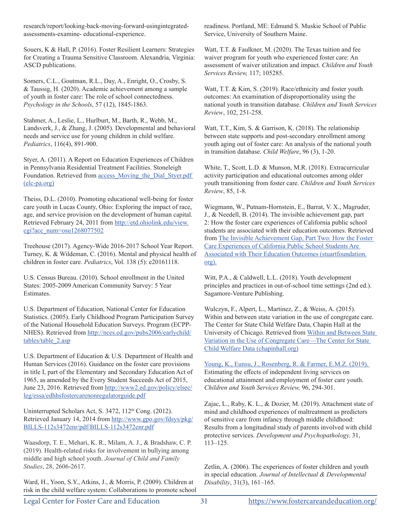research/report/looking-back-moving-forward-usingintegratedassessments-examine- educational-experience.

Souers, K & Hall, P. (2016). Foster Resilient Learners: Strategies for Creating a Trauma Sensitive Classroom. Alexandria, Virginia: ASCD publications.

Somers, C.L., Goutman, R.L., Day, A., Enright, O., Crosby, S. & Taussig, H. (2020). Academic achievement among a sample of youth in foster care: The role of school connectedness. *Psychology in the Schools*, 57 (12), 1845-1863.

Stahmer, A., Leslie, L., Hurlburt, M., Barth, R., Webb, M., Landsverk, J., & Zhang, J. (2005). Developmental and behavioral needs and service use for young children in child welfare. *Pediatrics*, 116(4), 891-900.

Styer, A. (2011). A Report on Education Experiences of Children in Pennsylvania Residential Treatment Facilities. Stoneleigh Foundation. Retrieved from access\_Moving\_the\_Dial\_Styer.pdf (elc-pa.org)

Theiss, D.L. (2010). Promoting educational well-being for foster care youth in Lucas County, Ohio: Exploring the impact of race, age, and service provision on the development of human capital. Retrieved February 24, 2011 from http://etd.ohiolink.edu/view. cgi?acc\_num=osu1268077502

Treehouse (2017). Agency-Wide 2016-2017 School Year Report. Turney, K. & Wildeman, C. (2016). Mental and physical health of children in foster care. *Pediatrics*, Vol. 138 (5): e20161118.

U.S. Census Bureau. (2010). School enrollment in the United States: 2005-2009 American Community Survey: 5 Year Estimates.

U.S. Department of Education, National Center for Education Statistics. (2005). Early Childhood Program Participation Survey of the National Household Education Surveys. Program (ECPP-NHES). Retrieved from http://nces.ed.gov/pubs2006/earlychild/ tables/table\_2.asp

U.S. Department of Education & U.S. Department of Health and Human Services (2016). Guidance on the foster care provisions in title I, part of the Elementary and Secondary Education Act of 1965, as amended by the Every Student Succeeds Act of 2015, June 23, 2016. Retrieved from http://www2.ed.gov/policy/elsec/ leg/essa/edhhsfostercarenonregulatorguide.pdf

Uninterrupted Scholars Act, S. 3472, 112<sup>th</sup> Cong. (2012). Retrieved January 14, 2014 from http://www.gpo.gov/fdsys/pkg/ BILLS-112s3472enr/pdf/BILLS-112s3472enr.pdf

Waasdorp, T. E., Mehari, K. R., Milam, A. J., & Bradshaw, C. P. (2019). Health-related risks for involvement in bullying among middle and high school youth. *Journal of Child and Family Studies*, 28, 2606-2617.

Ward, H., Yoon, S.Y., Atkins, J., & Morris, P. (2009). Children at risk in the child welfare system: Collaborations to promote school readiness. Portland, ME: Edmund S. Muskie School of Public Service, University of Southern Maine.

Watt, T.T. & Faulkner, M. (2020). The Texas tuition and fee waiver program for youth who experienced foster care: An assessment of waiver utilization and impact. *Children and Youth Services Review,* 117; 105285.

Watt, T.T. & Kim, S. (2019). Race/ethnicity and foster youth outcomes: An examination of disproportionality using the national youth in transition database. *Children and Youth Services Review*, 102, 251-258.

Watt, T.T., Kim, S. & Garrison, K. (2018). The relationship between state supports and post-secondary enrollment among youth aging out of foster care: An analysis of the national youth in transition database. *Child Welfare*, 96 (3), 1-20.

White, T., Scott, L.D. & Munson, M.R. (2018). Extracurricular activity participation and educational outcomes among older youth transitioning from foster care. *Children and Youth Services Review*, 85, 1-8.

Wiegmann, W., Putnam-Hornstein, E., Barrat, V. X., Magruder, J., & Needell, B. (2014). The invisible achievement gap, part 2: How the foster care experiences of California public school students are associated with their education outcomes. Retrieved from The Invisible Achievement Gap, Part Two: How the Foster Care Experiences of California Public School Students Are Associated with Their Education Outcomes (stuartfoundation. org).

Witt, P.A., & Caldwell, L.L. (2018). Youth development principles and practices in out-of-school time settings (2nd ed.). Sagamore-Venture Publishing.

Wulczyn, F., Alpert, L., Martinez, Z., & Weiss, A. (2015). Within and between state variation in the use of congregate care. The Center for State Child Welfare Data, Chapin Hall at the University of Chicago. Retrieved from Within and Between State Variation in the Use of Congregate Care—The Center for State Child Welfare Data (chapinhall.org)

Young, K., Eunsu, J., Rosenberg, R. & Farmer, E.M.Z. (2019). Estimating the effects of independent living services on educational attainment and employment of foster care youth. *Children and Youth Services Review,* 96, 294-301.

Zajac, L., Raby, K. L., & Dozier, M. (2019). Attachment state of mind and childhood experiences of maltreatment as predictors of sensitive care from infancy through middle childhood: Results from a longitudinal study of parents involved with child protective services. *Development and Psychopathology,* 31, 113–125.

Zetlin, A. (2006). The experiences of foster children and youth in special education. *Journal of Intellectual & Developmental Disability*, 31(3), 161–165.